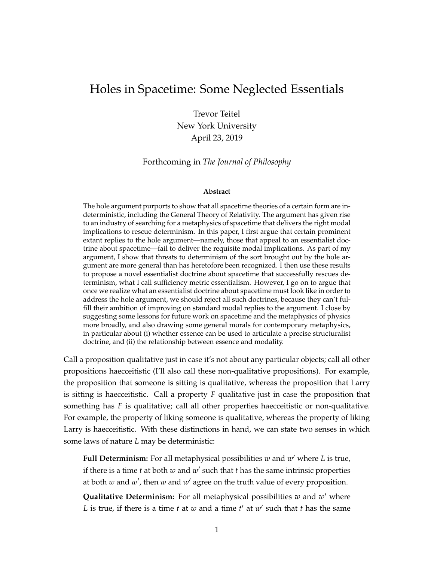# Holes in Spacetime: Some Neglected Essentials

Trevor Teitel New York University April 23, 2019

#### Forthcoming in *The Journal of Philosophy*

#### **Abstract**

The hole argument purports to show that all spacetime theories of a certain form are indeterministic, including the General Theory of Relativity. The argument has given rise to an industry of searching for a metaphysics of spacetime that delivers the right modal implications to rescue determinism. In this paper, I first argue that certain prominent extant replies to the hole argument—namely, those that appeal to an essentialist doctrine about spacetime—fail to deliver the requisite modal implications. As part of my argument, I show that threats to determinism of the sort brought out by the hole argument are more general than has heretofore been recognized. I then use these results to propose a novel essentialist doctrine about spacetime that successfully rescues determinism, what I call sufficiency metric essentialism. However, I go on to argue that once we realize what an essentialist doctrine about spacetime must look like in order to address the hole argument, we should reject all such doctrines, because they can't fulfill their ambition of improving on standard modal replies to the argument. I close by suggesting some lessons for future work on spacetime and the metaphysics of physics more broadly, and also drawing some general morals for contemporary metaphysics, in particular about (i) whether essence can be used to articulate a precise structuralist doctrine, and (ii) the relationship between essence and modality.

Call a proposition qualitative just in case it's not about any particular objects; call all other propositions haecceitistic (I'll also call these non-qualitative propositions). For example, the proposition that someone is sitting is qualitative, whereas the proposition that Larry is sitting is haecceitistic. Call a property *F* qualitative just in case the proposition that something has *F* is qualitative; call all other properties haecceitistic or non-qualitative. For example, the property of liking someone is qualitative, whereas the property of liking Larry is haecceitistic. With these distinctions in hand, we can state two senses in which some laws of nature *L* may be deterministic:

Full Determinism: For all metaphysical possibilities w and w' where L is true, if there is a time  $t$  at both  $w$  and  $w'$  such that  $t$  has the same intrinsic properties at both  $w$  and  $w'$ , then  $w$  and  $w'$  agree on the truth value of every proposition.

**Qualitative Determinism:** For all metaphysical possibilities w and w' where L is true, if there is a time  $t$  at  $w$  and a time  $t'$  at  $w'$  such that  $t$  has the same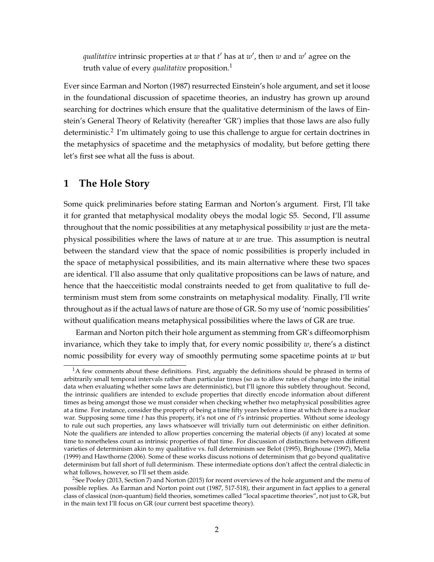*qualitative* intrinsic properties at *w* that *t'* has at *w'*, then *w* and *w'* agree on the truth value of every *qualitative* proposition.[1](#page-1-0)

Ever since Earman and Norton [\(1987\)](#page-30-0) resurrected Einstein's hole argument, and set it loose in the foundational discussion of spacetime theories, an industry has grown up around searching for doctrines which ensure that the qualitative determinism of the laws of Einstein's General Theory of Relativity (hereafter 'GR') implies that those laws are also fully deterministic.<sup>[2](#page-1-1)</sup> I'm ultimately going to use this challenge to argue for certain doctrines in the metaphysics of spacetime and the metaphysics of modality, but before getting there let's first see what all the fuss is about.

## <span id="page-1-2"></span>**1 The Hole Story**

Some quick preliminaries before stating Earman and Norton's argument. First, I'll take it for granted that metaphysical modality obeys the modal logic S5. Second, I'll assume throughout that the nomic possibilities at any metaphysical possibility *w* just are the metaphysical possibilities where the laws of nature at *w* are true. This assumption is neutral between the standard view that the space of nomic possibilities is properly included in the space of metaphysical possibilities, and its main alternative where these two spaces are identical. I'll also assume that only qualitative propositions can be laws of nature, and hence that the haecceitistic modal constraints needed to get from qualitative to full determinism must stem from some constraints on metaphysical modality. Finally, I'll write throughout as if the actual laws of nature are those of GR. So my use of 'nomic possibilities' without qualification means metaphysical possibilities where the laws of GR are true.

Earman and Norton pitch their hole argument as stemming from GR's diffeomorphism invariance, which they take to imply that, for every nomic possibility *w*, there's a distinct nomic possibility for every way of smoothly permuting some spacetime points at *w* but

<span id="page-1-0"></span> ${}^{1}$ A few comments about these definitions. First, arguably the definitions should be phrased in terms of arbitrarily small temporal intervals rather than particular times (so as to allow rates of change into the initial data when evaluating whether some laws are deterministic), but I'll ignore this subtlety throughout. Second, the intrinsic qualifiers are intended to exclude properties that directly encode information about different times as being amongst those we must consider when checking whether two metaphysical possibilities agree at a time. For instance, consider the property of being a time fifty years before a time at which there is a nuclear war. Supposing some time *t* has this property, it's not one of *t*'s intrinsic properties. Without some ideology to rule out such properties, any laws whatsoever will trivially turn out deterministic on either definition. Note the qualifiers are intended to allow properties concerning the material objects (if any) located at some time to nonetheless count as intrinsic properties of that time. For discussion of distinctions between different varieties of determinism akin to my qualitative vs. full determinism see [Belot](#page-30-1) [\(1995\)](#page-30-1), [Brighouse](#page-30-2) [\(1997\)](#page-30-2), [Melia](#page-31-0) [\(1999\)](#page-31-0) and [Hawthorne](#page-30-3) [\(2006\)](#page-30-3). Some of these works discuss notions of determinism that go beyond qualitative determinism but fall short of full determinism. These intermediate options don't affect the central dialectic in what follows, however, so I'll set them aside.

<span id="page-1-1"></span><sup>&</sup>lt;sup>2</sup>See [Pooley](#page-31-1) [\(2013,](#page-31-1) Section 7) and [Norton](#page-31-2) [\(2015\)](#page-31-2) for recent overviews of the hole argument and the menu of possible replies. As Earman and Norton point out [\(1987,](#page-30-0) 517-518), their argument in fact applies to a general class of classical (non-quantum) field theories, sometimes called "local spacetime theories", not just to GR, but in the main text I'll focus on GR (our current best spacetime theory).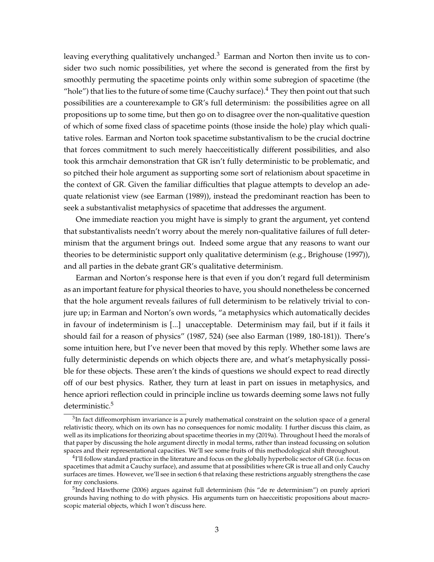leaving everything qualitatively unchanged. $3$  Earman and Norton then invite us to consider two such nomic possibilities, yet where the second is generated from the first by smoothly permuting the spacetime points only within some subregion of spacetime (the "hole") that lies to the future of some time (Cauchy surface). $4$  They then point out that such possibilities are a counterexample to GR's full determinism: the possibilities agree on all propositions up to some time, but then go on to disagree over the non-qualitative question of which of some fixed class of spacetime points (those inside the hole) play which qualitative roles. Earman and Norton took spacetime substantivalism to be the crucial doctrine that forces commitment to such merely haecceitistically different possibilities, and also took this armchair demonstration that GR isn't fully deterministic to be problematic, and so pitched their hole argument as supporting some sort of relationism about spacetime in the context of GR. Given the familiar difficulties that plague attempts to develop an adequate relationist view (see [Earman](#page-30-4) [\(1989\)](#page-30-4)), instead the predominant reaction has been to seek a substantivalist metaphysics of spacetime that addresses the argument.

One immediate reaction you might have is simply to grant the argument, yet contend that substantivalists needn't worry about the merely non-qualitative failures of full determinism that the argument brings out. Indeed some argue that any reasons to want our theories to be deterministic support only qualitative determinism (e.g., [Brighouse](#page-30-2) [\(1997\)](#page-30-2)), and all parties in the debate grant GR's qualitative determinism.

Earman and Norton's response here is that even if you don't regard full determinism as an important feature for physical theories to have, you should nonetheless be concerned that the hole argument reveals failures of full determinism to be relatively trivial to conjure up; in Earman and Norton's own words, "a metaphysics which automatically decides in favour of indeterminism is [...] unacceptable. Determinism may fail, but if it fails it should fail for a reason of physics" [\(1987,](#page-30-0) 524) (see also [Earman](#page-30-4) [\(1989,](#page-30-4) 180-181)). There's some intuition here, but I've never been that moved by this reply. Whether some laws are fully deterministic depends on which objects there are, and what's metaphysically possible for these objects. These aren't the kinds of questions we should expect to read directly off of our best physics. Rather, they turn at least in part on issues in metaphysics, and hence apriori reflection could in principle incline us towards deeming some laws not fully deterministic.<sup>[5](#page-2-2)</sup>

<span id="page-2-0"></span> ${}^{3}$ In fact diffeomorphism invariance is a purely mathematical constraint on the solution space of a general relativistic theory, which on its own has no consequences for nomic modality. I further discuss this claim, as well as its implications for theorizing about spacetime theories in my [\(2019a\)](#page-32-0). Throughout I heed the morals of that paper by discussing the hole argument directly in modal terms, rather than instead focussing on solution spaces and their representational capacities. We'll see some fruits of this methodological shift throughout.

<span id="page-2-1"></span> $^{4}$ I'll follow standard practice in the literature and focus on the globally hyperbolic sector of GR (i.e. focus on spacetimes that admit a Cauchy surface), and assume that at possibilities where GR is true all and only Cauchy surfaces are times. However, we'll see in section [6](#page-16-0) that relaxing these restrictions arguably strengthens the case for my conclusions.

<span id="page-2-2"></span><sup>&</sup>lt;sup>5</sup>Indeed [Hawthorne](#page-30-3) [\(2006\)](#page-30-3) argues against full determinism (his "de re determinism") on purely apriori grounds having nothing to do with physics. His arguments turn on haecceitistic propositions about macroscopic material objects, which I won't discuss here.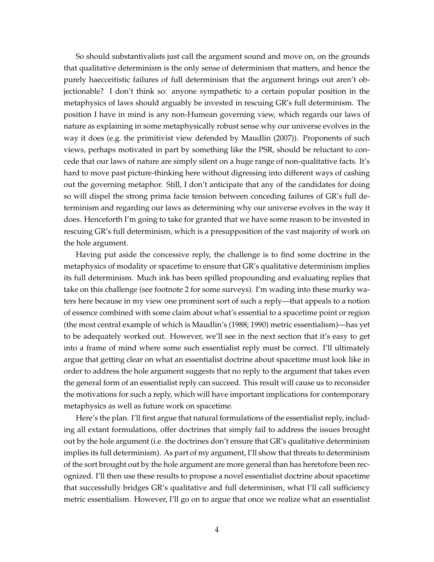So should substantivalists just call the argument sound and move on, on the grounds that qualitative determinism is the only sense of determinism that matters, and hence the purely haecceitistic failures of full determinism that the argument brings out aren't objectionable? I don't think so: anyone sympathetic to a certain popular position in the metaphysics of laws should arguably be invested in rescuing GR's full determinism. The position I have in mind is any non-Humean governing view, which regards our laws of nature as explaining in some metaphysically robust sense why our universe evolves in the way it does (e.g. the primitivist view defended by [Maudlin](#page-31-3) [\(2007\)](#page-31-3)). Proponents of such views, perhaps motivated in part by something like the PSR, should be reluctant to concede that our laws of nature are simply silent on a huge range of non-qualitative facts. It's hard to move past picture-thinking here without digressing into different ways of cashing out the governing metaphor. Still, I don't anticipate that any of the candidates for doing so will dispel the strong prima facie tension between conceding failures of GR's full determinism and regarding our laws as determining why our universe evolves in the way it does. Henceforth I'm going to take for granted that we have some reason to be invested in rescuing GR's full determinism, which is a presupposition of the vast majority of work on the hole argument.

Having put aside the concessive reply, the challenge is to find some doctrine in the metaphysics of modality or spacetime to ensure that GR's qualitative determinism implies its full determinism. Much ink has been spilled propounding and evaluating replies that take on this challenge (see footnote [2](#page-1-1) for some surveys). I'm wading into these murky waters here because in my view one prominent sort of such a reply—that appeals to a notion of essence combined with some claim about what's essential to a spacetime point or region (the most central example of which is Maudlin's [\(1988;](#page-31-4) [1990\)](#page-31-5) metric essentialism)—has yet to be adequately worked out. However, we'll see in the next section that it's easy to get into a frame of mind where some such essentialist reply must be correct. I'll ultimately argue that getting clear on what an essentialist doctrine about spacetime must look like in order to address the hole argument suggests that no reply to the argument that takes even the general form of an essentialist reply can succeed. This result will cause us to reconsider the motivations for such a reply, which will have important implications for contemporary metaphysics as well as future work on spacetime.

Here's the plan. I'll first argue that natural formulations of the essentialist reply, including all extant formulations, offer doctrines that simply fail to address the issues brought out by the hole argument (i.e. the doctrines don't ensure that GR's qualitative determinism implies its full determinism). As part of my argument, I'll show that threats to determinism of the sort brought out by the hole argument are more general than has heretofore been recognized. I'll then use these results to propose a novel essentialist doctrine about spacetime that successfully bridges GR's qualitative and full determinism, what I'll call sufficiency metric essentialism. However, I'll go on to argue that once we realize what an essentialist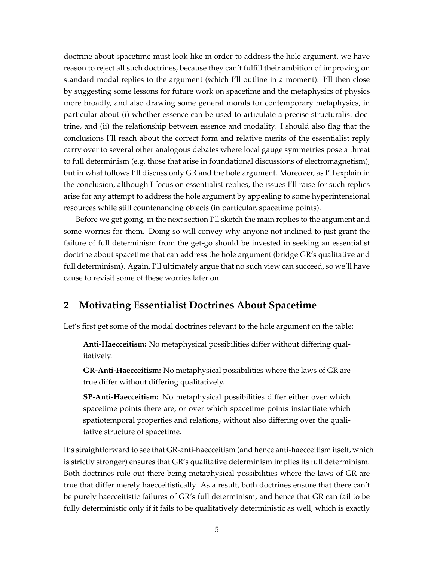doctrine about spacetime must look like in order to address the hole argument, we have reason to reject all such doctrines, because they can't fulfill their ambition of improving on standard modal replies to the argument (which I'll outline in a moment). I'll then close by suggesting some lessons for future work on spacetime and the metaphysics of physics more broadly, and also drawing some general morals for contemporary metaphysics, in particular about (i) whether essence can be used to articulate a precise structuralist doctrine, and (ii) the relationship between essence and modality. I should also flag that the conclusions I'll reach about the correct form and relative merits of the essentialist reply carry over to several other analogous debates where local gauge symmetries pose a threat to full determinism (e.g. those that arise in foundational discussions of electromagnetism), but in what follows I'll discuss only GR and the hole argument. Moreover, as I'll explain in the conclusion, although I focus on essentialist replies, the issues I'll raise for such replies arise for any attempt to address the hole argument by appealing to some hyperintensional resources while still countenancing objects (in particular, spacetime points).

Before we get going, in the next section I'll sketch the main replies to the argument and some worries for them. Doing so will convey why anyone not inclined to just grant the failure of full determinism from the get-go should be invested in seeking an essentialist doctrine about spacetime that can address the hole argument (bridge GR's qualitative and full determinism). Again, I'll ultimately argue that no such view can succeed, so we'll have cause to revisit some of these worries later on.

## <span id="page-4-0"></span>**2 Motivating Essentialist Doctrines About Spacetime**

Let's first get some of the modal doctrines relevant to the hole argument on the table:

**Anti-Haecceitism:** No metaphysical possibilities differ without differing qualitatively.

**GR-Anti-Haecceitism:** No metaphysical possibilities where the laws of GR are true differ without differing qualitatively.

**SP-Anti-Haecceitism:** No metaphysical possibilities differ either over which spacetime points there are, or over which spacetime points instantiate which spatiotemporal properties and relations, without also differing over the qualitative structure of spacetime.

It's straightforward to see that GR-anti-haecceitism (and hence anti-haecceitism itself, which is strictly stronger) ensures that GR's qualitative determinism implies its full determinism. Both doctrines rule out there being metaphysical possibilities where the laws of GR are true that differ merely haecceitistically. As a result, both doctrines ensure that there can't be purely haecceitistic failures of GR's full determinism, and hence that GR can fail to be fully deterministic only if it fails to be qualitatively deterministic as well, which is exactly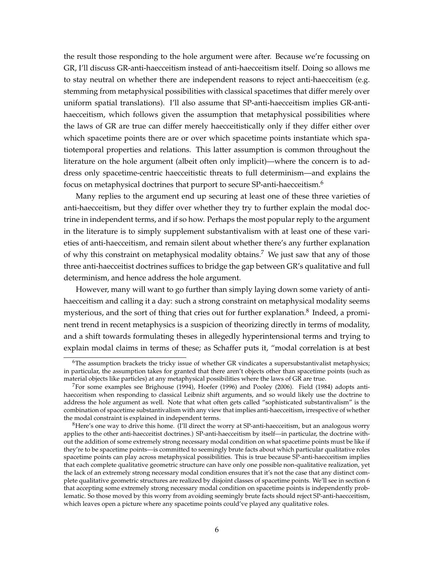the result those responding to the hole argument were after. Because we're focussing on GR, I'll discuss GR-anti-haecceitism instead of anti-haecceitism itself. Doing so allows me to stay neutral on whether there are independent reasons to reject anti-haecceitism (e.g. stemming from metaphysical possibilities with classical spacetimes that differ merely over uniform spatial translations). I'll also assume that SP-anti-haecceitism implies GR-antihaecceitism, which follows given the assumption that metaphysical possibilities where the laws of GR are true can differ merely haecceitistically only if they differ either over which spacetime points there are or over which spacetime points instantiate which spatiotemporal properties and relations. This latter assumption is common throughout the literature on the hole argument (albeit often only implicit)—where the concern is to address only spacetime-centric haecceitistic threats to full determinism—and explains the focus on metaphysical doctrines that purport to secure SP-anti-haecceitism.<sup>[6](#page-5-0)</sup>

Many replies to the argument end up securing at least one of these three varieties of anti-haecceitism, but they differ over whether they try to further explain the modal doctrine in independent terms, and if so how. Perhaps the most popular reply to the argument in the literature is to simply supplement substantivalism with at least one of these varieties of anti-haecceitism, and remain silent about whether there's any further explanation of why this constraint on metaphysical modality obtains.<sup>[7](#page-5-1)</sup> We just saw that any of those three anti-haecceitist doctrines suffices to bridge the gap between GR's qualitative and full determinism, and hence address the hole argument.

However, many will want to go further than simply laying down some variety of antihaecceitism and calling it a day: such a strong constraint on metaphysical modality seems mysterious, and the sort of thing that cries out for further explanation.<sup>[8](#page-5-2)</sup> Indeed, a prominent trend in recent metaphysics is a suspicion of theorizing directly in terms of modality, and a shift towards formulating theses in allegedly hyperintensional terms and trying to explain modal claims in terms of these; as Schaffer puts it, "modal correlation is at best

<span id="page-5-0"></span> $6$ The assumption brackets the tricky issue of whether GR vindicates a supersubstantivalist metaphysics; in particular, the assumption takes for granted that there aren't objects other than spacetime points (such as material objects like particles) at any metaphysical possibilities where the laws of GR are true.

<span id="page-5-1"></span> ${}^{7}$ For some examples see [Brighouse](#page-30-5) [\(1994\)](#page-30-5), [Hoefer](#page-30-6) [\(1996\)](#page-30-6) and [Pooley](#page-31-6) [\(2006\)](#page-31-6). [Field](#page-30-7) [\(1984\)](#page-30-7) adopts antihaecceitism when responding to classical Leibniz shift arguments, and so would likely use the doctrine to address the hole argument as well. Note that what often gets called "sophisticated substantivalism" is the combination of spacetime substantivalism with any view that implies anti-haecceitism, irrespective of whether the modal constraint is explained in independent terms.

<span id="page-5-2"></span> ${}^{8}$ Here's one way to drive this home. (I'll direct the worry at SP-anti-haecceitism, but an analogous worry applies to the other anti-haecceitist doctrines.) SP-anti-haecceitism by itself—in particular, the doctrine without the addition of some extremely strong necessary modal condition on what spacetime points must be like if they're to be spacetime points—is committed to seemingly brute facts about which particular qualitative roles spacetime points can play across metaphysical possibilities. This is true because SP-anti-haecceitism implies that each complete qualitative geometric structure can have only one possible non-qualitative realization, yet the lack of an extremely strong necessary modal condition ensures that it's not the case that any distinct complete qualitative geometric structures are realized by disjoint classes of spacetime points. We'll see in section [6](#page-16-0) that accepting some extremely strong necessary modal condition on spacetime points is independently problematic. So those moved by this worry from avoiding seemingly brute facts should reject SP-anti-haecceitism, which leaves open a picture where any spacetime points could've played any qualitative roles.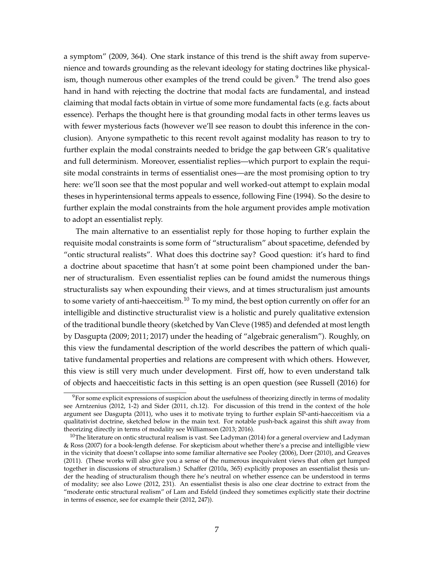a symptom" [\(2009,](#page-31-7) 364). One stark instance of this trend is the shift away from supervenience and towards grounding as the relevant ideology for stating doctrines like physicalism, though numerous other examples of the trend could be given. $9$  The trend also goes hand in hand with rejecting the doctrine that modal facts are fundamental, and instead claiming that modal facts obtain in virtue of some more fundamental facts (e.g. facts about essence). Perhaps the thought here is that grounding modal facts in other terms leaves us with fewer mysterious facts (however we'll see reason to doubt this inference in the conclusion). Anyone sympathetic to this recent revolt against modality has reason to try to further explain the modal constraints needed to bridge the gap between GR's qualitative and full determinism. Moreover, essentialist replies—which purport to explain the requisite modal constraints in terms of essentialist ones—are the most promising option to try here: we'll soon see that the most popular and well worked-out attempt to explain modal theses in hyperintensional terms appeals to essence, following [Fine](#page-30-8) [\(1994\)](#page-30-8). So the desire to further explain the modal constraints from the hole argument provides ample motivation to adopt an essentialist reply.

The main alternative to an essentialist reply for those hoping to further explain the requisite modal constraints is some form of "structuralism" about spacetime, defended by "ontic structural realists". What does this doctrine say? Good question: it's hard to find a doctrine about spacetime that hasn't at some point been championed under the banner of structuralism. Even essentialist replies can be found amidst the numerous things structuralists say when expounding their views, and at times structuralism just amounts to some variety of anti-haecceitism.<sup>[10](#page-6-1)</sup> To my mind, the best option currently on offer for an intelligible and distinctive structuralist view is a holistic and purely qualitative extension of the traditional bundle theory (sketched by [Van Cleve](#page-32-1) [\(1985\)](#page-32-1) and defended at most length by Dasgupta [\(2009;](#page-30-9) [2011;](#page-30-10) [2017\)](#page-30-11) under the heading of "algebraic generalism"). Roughly, on this view the fundamental description of the world describes the pattern of which qualitative fundamental properties and relations are compresent with which others. However, this view is still very much under development. First off, how to even understand talk of objects and haecceitistic facts in this setting is an open question (see [Russell](#page-31-8) [\(2016\)](#page-31-8) for

<span id="page-6-0"></span><sup>&</sup>lt;sup>9</sup>For some explicit expressions of suspicion about the usefulness of theorizing directly in terms of modality see [Arntzenius](#page-30-12) [\(2012,](#page-30-12) 1-2) and [Sider](#page-31-9) [\(2011,](#page-31-9) ch.12). For discussion of this trend in the context of the hole argument see [Dasgupta](#page-30-10) [\(2011\)](#page-30-10), who uses it to motivate trying to further explain SP-anti-haecceitism via a qualitativist doctrine, sketched below in the main text. For notable push-back against this shift away from theorizing directly in terms of modality see Williamson [\(2013;](#page-32-2) [2016\)](#page-32-3).

<span id="page-6-1"></span> $10$ The literature on ontic structural realism is vast. See [Ladyman](#page-31-11) [\(2014\)](#page-31-10) for a general overview and Ladyman [& Ross](#page-31-11) [\(2007\)](#page-31-11) for a book-length defense. For skepticism about whether there's a precise and intelligible view in the vicinity that doesn't collapse into some familiar alternative see [Pooley](#page-31-6) [\(2006\)](#page-31-6), [Dorr](#page-30-13) [\(2010\)](#page-30-13), and [Greaves](#page-30-14) [\(2011\)](#page-30-14). (These works will also give you a sense of the numerous inequivalent views that often get lumped together in discussions of structuralism.) [Schaffer](#page-31-12) [\(2010a,](#page-31-12) 365) explicitly proposes an essentialist thesis under the heading of structuralism though there he's neutral on whether essence can be understood in terms of modality; see also [Lowe](#page-31-13) [\(2012,](#page-31-13) 231). An essentialist thesis is also one clear doctrine to extract from the "moderate ontic structural realism" of Lam and Esfeld (indeed they sometimes explicitly state their doctrine in terms of essence, see for example their [\(2012,](#page-31-14) 247)).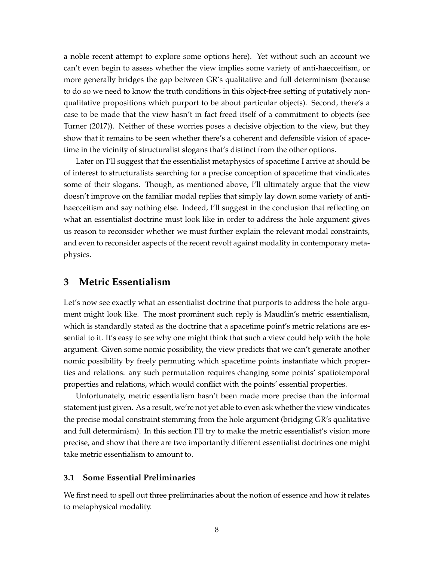a noble recent attempt to explore some options here). Yet without such an account we can't even begin to assess whether the view implies some variety of anti-haecceitism, or more generally bridges the gap between GR's qualitative and full determinism (because to do so we need to know the truth conditions in this object-free setting of putatively nonqualitative propositions which purport to be about particular objects). Second, there's a case to be made that the view hasn't in fact freed itself of a commitment to objects (see [Turner](#page-32-4) [\(2017\)](#page-32-4)). Neither of these worries poses a decisive objection to the view, but they show that it remains to be seen whether there's a coherent and defensible vision of spacetime in the vicinity of structuralist slogans that's distinct from the other options.

Later on I'll suggest that the essentialist metaphysics of spacetime I arrive at should be of interest to structuralists searching for a precise conception of spacetime that vindicates some of their slogans. Though, as mentioned above, I'll ultimately argue that the view doesn't improve on the familiar modal replies that simply lay down some variety of antihaecceitism and say nothing else. Indeed, I'll suggest in the conclusion that reflecting on what an essentialist doctrine must look like in order to address the hole argument gives us reason to reconsider whether we must further explain the relevant modal constraints, and even to reconsider aspects of the recent revolt against modality in contemporary metaphysics.

#### **3 Metric Essentialism**

Let's now see exactly what an essentialist doctrine that purports to address the hole argument might look like. The most prominent such reply is Maudlin's metric essentialism, which is standardly stated as the doctrine that a spacetime point's metric relations are essential to it. It's easy to see why one might think that such a view could help with the hole argument. Given some nomic possibility, the view predicts that we can't generate another nomic possibility by freely permuting which spacetime points instantiate which properties and relations: any such permutation requires changing some points' spatiotemporal properties and relations, which would conflict with the points' essential properties.

Unfortunately, metric essentialism hasn't been made more precise than the informal statement just given. As a result, we're not yet able to even ask whether the view vindicates the precise modal constraint stemming from the hole argument (bridging GR's qualitative and full determinism). In this section I'll try to make the metric essentialist's vision more precise, and show that there are two importantly different essentialist doctrines one might take metric essentialism to amount to.

#### <span id="page-7-0"></span>**3.1 Some Essential Preliminaries**

We first need to spell out three preliminaries about the notion of essence and how it relates to metaphysical modality.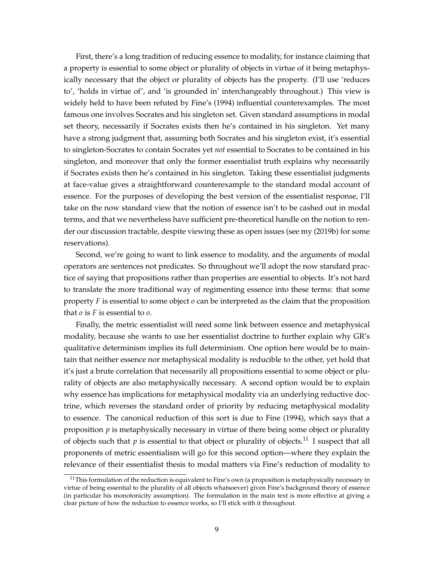First, there's a long tradition of reducing essence to modality, for instance claiming that a property is essential to some object or plurality of objects in virtue of it being metaphysically necessary that the object or plurality of objects has the property. (I'll use 'reduces to', 'holds in virtue of', and 'is grounded in' interchangeably throughout.) This view is widely held to have been refuted by Fine's [\(1994\)](#page-30-8) influential counterexamples. The most famous one involves Socrates and his singleton set. Given standard assumptions in modal set theory, necessarily if Socrates exists then he's contained in his singleton. Yet many have a strong judgment that, assuming both Socrates and his singleton exist, it's essential to singleton-Socrates to contain Socrates yet *not* essential to Socrates to be contained in his singleton, and moreover that only the former essentialist truth explains why necessarily if Socrates exists then he's contained in his singleton. Taking these essentialist judgments at face-value gives a straightforward counterexample to the standard modal account of essence. For the purposes of developing the best version of the essentialist response, I'll take on the now standard view that the notion of essence isn't to be cashed out in modal terms, and that we nevertheless have sufficient pre-theoretical handle on the notion to render our discussion tractable, despite viewing these as open issues (see my [\(2019b\)](#page-32-5) for some reservations).

Second, we're going to want to link essence to modality, and the arguments of modal operators are sentences not predicates. So throughout we'll adopt the now standard practice of saying that propositions rather than properties are essential to objects. It's not hard to translate the more traditional way of regimenting essence into these terms: that some property *F* is essential to some object *o* can be interpreted as the claim that the proposition that *o* is *F* is essential to *o*.

Finally, the metric essentialist will need some link between essence and metaphysical modality, because she wants to use her essentialist doctrine to further explain why GR's qualitative determinism implies its full determinism. One option here would be to maintain that neither essence nor metaphysical modality is reducible to the other, yet hold that it's just a brute correlation that necessarily all propositions essential to some object or plurality of objects are also metaphysically necessary. A second option would be to explain why essence has implications for metaphysical modality via an underlying reductive doctrine, which reverses the standard order of priority by reducing metaphysical modality to essence. The canonical reduction of this sort is due to [Fine](#page-30-8) [\(1994\)](#page-30-8), which says that a proposition *p* is metaphysically necessary in virtue of there being some object or plurality of objects such that  $p$  is essential to that object or plurality of objects.<sup>[11](#page-8-0)</sup> I suspect that all proponents of metric essentialism will go for this second option—where they explain the relevance of their essentialist thesis to modal matters via Fine's reduction of modality to

<span id="page-8-0"></span> $11$ This formulation of the reduction is equivalent to Fine's own (a proposition is metaphysically necessary in virtue of being essential to the plurality of all objects whatsoever) given Fine's background theory of essence (in particular his monotonicity assumption). The formulation in the main text is more effective at giving a clear picture of how the reduction to essence works, so I'll stick with it throughout.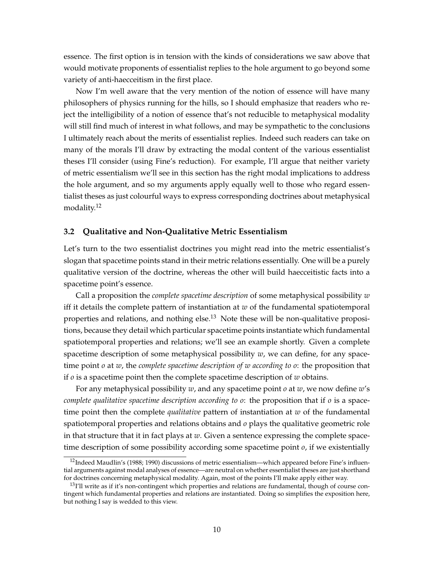essence. The first option is in tension with the kinds of considerations we saw above that would motivate proponents of essentialist replies to the hole argument to go beyond some variety of anti-haecceitism in the first place.

Now I'm well aware that the very mention of the notion of essence will have many philosophers of physics running for the hills, so I should emphasize that readers who reject the intelligibility of a notion of essence that's not reducible to metaphysical modality will still find much of interest in what follows, and may be sympathetic to the conclusions I ultimately reach about the merits of essentialist replies. Indeed such readers can take on many of the morals I'll draw by extracting the modal content of the various essentialist theses I'll consider (using Fine's reduction). For example, I'll argue that neither variety of metric essentialism we'll see in this section has the right modal implications to address the hole argument, and so my arguments apply equally well to those who regard essentialist theses as just colourful ways to express corresponding doctrines about metaphysical modality.<sup>[12](#page-9-0)</sup>

#### <span id="page-9-2"></span>**3.2 Qualitative and Non-Qualitative Metric Essentialism**

Let's turn to the two essentialist doctrines you might read into the metric essentialist's slogan that spacetime points stand in their metric relations essentially. One will be a purely qualitative version of the doctrine, whereas the other will build haecceitistic facts into a spacetime point's essence.

Call a proposition the *complete spacetime description* of some metaphysical possibility *w* iff it details the complete pattern of instantiation at *w* of the fundamental spatiotemporal properties and relations, and nothing else.<sup>[13](#page-9-1)</sup> Note these will be non-qualitative propositions, because they detail which particular spacetime points instantiate which fundamental spatiotemporal properties and relations; we'll see an example shortly. Given a complete spacetime description of some metaphysical possibility *w*, we can define, for any spacetime point *o* at *w*, the *complete spacetime description of w according to o*: the proposition that if *o* is a spacetime point then the complete spacetime description of *w* obtains.

For any metaphysical possibility *w*, and any spacetime point *o* at *w*, we now define *w*'s *complete qualitative spacetime description according to o*: the proposition that if *o* is a spacetime point then the complete *qualitative* pattern of instantiation at *w* of the fundamental spatiotemporal properties and relations obtains and *o* plays the qualitative geometric role in that structure that it in fact plays at *w*. Given a sentence expressing the complete spacetime description of some possibility according some spacetime point *o*, if we existentially

<span id="page-9-0"></span><sup>&</sup>lt;sup>12</sup>Indeed Maudlin's [\(1988;](#page-31-4) [1990\)](#page-31-5) discussions of metric essentialism—which appeared before Fine's influential arguments against modal analyses of essence—are neutral on whether essentialist theses are just shorthand for doctrines concerning metaphysical modality. Again, most of the points I'll make apply either way.

<span id="page-9-1"></span><sup>&</sup>lt;sup>13</sup>I'll write as if it's non-contingent which properties and relations are fundamental, though of course contingent which fundamental properties and relations are instantiated. Doing so simplifies the exposition here, but nothing I say is wedded to this view.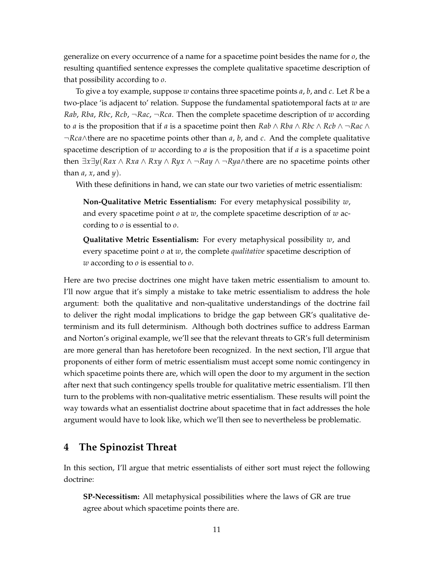generalize on every occurrence of a name for a spacetime point besides the name for *o*, the resulting quantified sentence expresses the complete qualitative spacetime description of that possibility according to *o*.

To give a toy example, suppose *w* contains three spacetime points *a*, *b*, and *c*. Let *R* be a two-place 'is adjacent to' relation. Suppose the fundamental spatiotemporal facts at *w* are *Rab*, *Rba*, *Rbc*, *Rcb*, ¬*Rac*, ¬*Rca*. Then the complete spacetime description of *w* according to *a* is the proposition that if *a* is a spacetime point then  $Rab \wedge Rba \wedge Rbc \wedge Rcb \wedge \neg Rac \wedge$ ¬*Rca*∧there are no spacetime points other than *a*, *b*, and *c*. And the complete qualitative spacetime description of *w* according to *a* is the proposition that if *a* is a spacetime point then ∃*x*∃*y*(*Rax* ∧ *Rxa* ∧ *Rxy* ∧ *Ryx* ∧ ¬*Ray* ∧ ¬*Rya*∧there are no spacetime points other than *a*, *x*, and *y*).

With these definitions in hand, we can state our two varieties of metric essentialism:

**Non-Qualitative Metric Essentialism:** For every metaphysical possibility *w*, and every spacetime point *o* at *w*, the complete spacetime description of *w* according to *o* is essential to *o*.

**Qualitative Metric Essentialism:** For every metaphysical possibility *w*, and every spacetime point *o* at *w*, the complete *qualitative* spacetime description of *w* according to *o* is essential to *o*.

Here are two precise doctrines one might have taken metric essentialism to amount to. I'll now argue that it's simply a mistake to take metric essentialism to address the hole argument: both the qualitative and non-qualitative understandings of the doctrine fail to deliver the right modal implications to bridge the gap between GR's qualitative determinism and its full determinism. Although both doctrines suffice to address Earman and Norton's original example, we'll see that the relevant threats to GR's full determinism are more general than has heretofore been recognized. In the next section, I'll argue that proponents of either form of metric essentialism must accept some nomic contingency in which spacetime points there are, which will open the door to my argument in the section after next that such contingency spells trouble for qualitative metric essentialism. I'll then turn to the problems with non-qualitative metric essentialism. These results will point the way towards what an essentialist doctrine about spacetime that in fact addresses the hole argument would have to look like, which we'll then see to nevertheless be problematic.

## <span id="page-10-0"></span>**4 The Spinozist Threat**

In this section, I'll argue that metric essentialists of either sort must reject the following doctrine:

**SP-Necessitism:** All metaphysical possibilities where the laws of GR are true agree about which spacetime points there are.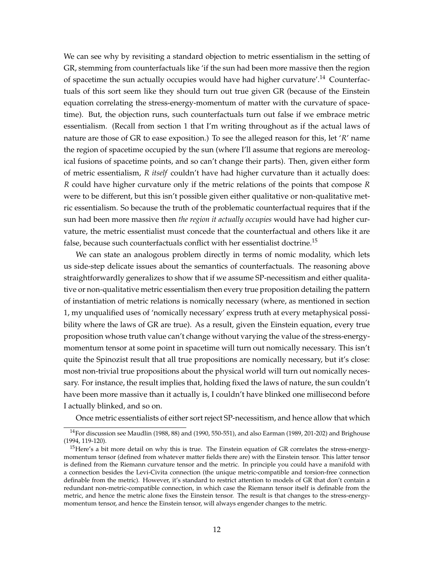We can see why by revisiting a standard objection to metric essentialism in the setting of GR, stemming from counterfactuals like 'if the sun had been more massive then the region of spacetime the sun actually occupies would have had higher curvature'.<sup>[14](#page-11-0)</sup> Counterfactuals of this sort seem like they should turn out true given GR (because of the Einstein equation correlating the stress-energy-momentum of matter with the curvature of spacetime). But, the objection runs, such counterfactuals turn out false if we embrace metric essentialism. (Recall from section [1](#page-1-2) that I'm writing throughout as if the actual laws of nature are those of GR to ease exposition.) To see the alleged reason for this, let '*R*' name the region of spacetime occupied by the sun (where I'll assume that regions are mereological fusions of spacetime points, and so can't change their parts). Then, given either form of metric essentialism, *R itself* couldn't have had higher curvature than it actually does: *R* could have higher curvature only if the metric relations of the points that compose *R* were to be different, but this isn't possible given either qualitative or non-qualitative metric essentialism. So because the truth of the problematic counterfactual requires that if the sun had been more massive then *the region it actually occupies* would have had higher curvature, the metric essentialist must concede that the counterfactual and others like it are false, because such counterfactuals conflict with her essentialist doctrine.<sup>[15](#page-11-1)</sup>

We can state an analogous problem directly in terms of nomic modality, which lets us side-step delicate issues about the semantics of counterfactuals. The reasoning above straightforwardly generalizes to show that if we assume SP-necessitism and either qualitative or non-qualitative metric essentialism then every true proposition detailing the pattern of instantiation of metric relations is nomically necessary (where, as mentioned in section [1,](#page-1-2) my unqualified uses of 'nomically necessary' express truth at every metaphysical possibility where the laws of GR are true). As a result, given the Einstein equation, every true proposition whose truth value can't change without varying the value of the stress-energymomentum tensor at some point in spacetime will turn out nomically necessary. This isn't quite the Spinozist result that all true propositions are nomically necessary, but it's close: most non-trivial true propositions about the physical world will turn out nomically necessary. For instance, the result implies that, holding fixed the laws of nature, the sun couldn't have been more massive than it actually is, I couldn't have blinked one millisecond before I actually blinked, and so on.

Once metric essentialists of either sort reject SP-necessitism, and hence allow that which

<span id="page-11-0"></span><sup>14</sup>For discussion see Maudlin [\(1988,](#page-31-4) 88) and [\(1990,](#page-31-5) 550-551), and also [Earman](#page-30-4) [\(1989,](#page-30-4) 201-202) and [Brighouse](#page-30-5) [\(1994,](#page-30-5) 119-120).

<span id="page-11-1"></span> $15$  Here's a bit more detail on why this is true. The Einstein equation of GR correlates the stress-energymomentum tensor (defined from whatever matter fields there are) with the Einstein tensor. This latter tensor is defined from the Riemann curvature tensor and the metric. In principle you could have a manifold with a connection besides the Levi-Civita connection (the unique metric-compatible and torsion-free connection definable from the metric). However, it's standard to restrict attention to models of GR that don't contain a redundant non-metric-compatible connection, in which case the Riemann tensor itself is definable from the metric, and hence the metric alone fixes the Einstein tensor. The result is that changes to the stress-energymomentum tensor, and hence the Einstein tensor, will always engender changes to the metric.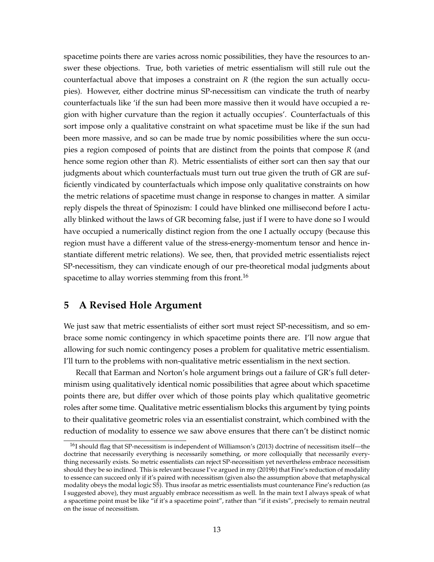spacetime points there are varies across nomic possibilities, they have the resources to answer these objections. True, both varieties of metric essentialism will still rule out the counterfactual above that imposes a constraint on *R* (the region the sun actually occupies). However, either doctrine minus SP-necessitism can vindicate the truth of nearby counterfactuals like 'if the sun had been more massive then it would have occupied a region with higher curvature than the region it actually occupies'. Counterfactuals of this sort impose only a qualitative constraint on what spacetime must be like if the sun had been more massive, and so can be made true by nomic possibilities where the sun occupies a region composed of points that are distinct from the points that compose *R* (and hence some region other than *R*). Metric essentialists of either sort can then say that our judgments about which counterfactuals must turn out true given the truth of GR are sufficiently vindicated by counterfactuals which impose only qualitative constraints on how the metric relations of spacetime must change in response to changes in matter. A similar reply dispels the threat of Spinozism: I could have blinked one millisecond before I actually blinked without the laws of GR becoming false, just if I were to have done so I would have occupied a numerically distinct region from the one I actually occupy (because this region must have a different value of the stress-energy-momentum tensor and hence instantiate different metric relations). We see, then, that provided metric essentialists reject SP-necessitism, they can vindicate enough of our pre-theoretical modal judgments about spacetime to allay worries stemming from this front.<sup>[16](#page-12-0)</sup>

# **5 A Revised Hole Argument**

We just saw that metric essentialists of either sort must reject SP-necessitism, and so embrace some nomic contingency in which spacetime points there are. I'll now argue that allowing for such nomic contingency poses a problem for qualitative metric essentialism. I'll turn to the problems with non-qualitative metric essentialism in the next section.

Recall that Earman and Norton's hole argument brings out a failure of GR's full determinism using qualitatively identical nomic possibilities that agree about which spacetime points there are, but differ over which of those points play which qualitative geometric roles after some time. Qualitative metric essentialism blocks this argument by tying points to their qualitative geometric roles via an essentialist constraint, which combined with the reduction of modality to essence we saw above ensures that there can't be distinct nomic

<span id="page-12-0"></span> $16I$  should flag that SP-necessitism is independent of Williamson's [\(2013\)](#page-32-2) doctrine of necessitism itself—the doctrine that necessarily everything is necessarily something, or more colloquially that necessarily everything necessarily exists. So metric essentialists can reject SP-necessitism yet nevertheless embrace necessitism should they be so inclined. This is relevant because I've argued in my [\(2019b\)](#page-32-5) that Fine's reduction of modality to essence can succeed only if it's paired with necessitism (given also the assumption above that metaphysical modality obeys the modal logic S5). Thus insofar as metric essentialists must countenance Fine's reduction (as I suggested above), they must arguably embrace necessitism as well. In the main text I always speak of what a spacetime point must be like "if it's a spacetime point", rather than "if it exists", precisely to remain neutral on the issue of necessitism.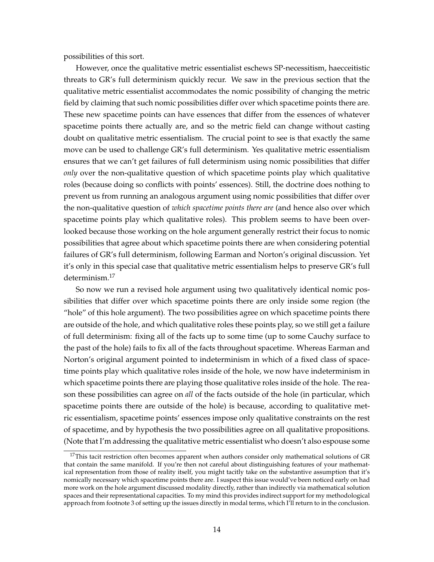possibilities of this sort.

However, once the qualitative metric essentialist eschews SP-necessitism, haecceitistic threats to GR's full determinism quickly recur. We saw in the previous section that the qualitative metric essentialist accommodates the nomic possibility of changing the metric field by claiming that such nomic possibilities differ over which spacetime points there are. These new spacetime points can have essences that differ from the essences of whatever spacetime points there actually are, and so the metric field can change without casting doubt on qualitative metric essentialism. The crucial point to see is that exactly the same move can be used to challenge GR's full determinism. Yes qualitative metric essentialism ensures that we can't get failures of full determinism using nomic possibilities that differ *only* over the non-qualitative question of which spacetime points play which qualitative roles (because doing so conflicts with points' essences). Still, the doctrine does nothing to prevent us from running an analogous argument using nomic possibilities that differ over the non-qualitative question of *which spacetime points there are* (and hence also over which spacetime points play which qualitative roles). This problem seems to have been overlooked because those working on the hole argument generally restrict their focus to nomic possibilities that agree about which spacetime points there are when considering potential failures of GR's full determinism, following Earman and Norton's original discussion. Yet it's only in this special case that qualitative metric essentialism helps to preserve GR's full determinism.[17](#page-13-0)

So now we run a revised hole argument using two qualitatively identical nomic possibilities that differ over which spacetime points there are only inside some region (the "hole" of this hole argument). The two possibilities agree on which spacetime points there are outside of the hole, and which qualitative roles these points play, so we still get a failure of full determinism: fixing all of the facts up to some time (up to some Cauchy surface to the past of the hole) fails to fix all of the facts throughout spacetime. Whereas Earman and Norton's original argument pointed to indeterminism in which of a fixed class of spacetime points play which qualitative roles inside of the hole, we now have indeterminism in which spacetime points there are playing those qualitative roles inside of the hole. The reason these possibilities can agree on *all* of the facts outside of the hole (in particular, which spacetime points there are outside of the hole) is because, according to qualitative metric essentialism, spacetime points' essences impose only qualitative constraints on the rest of spacetime, and by hypothesis the two possibilities agree on all qualitative propositions. (Note that I'm addressing the qualitative metric essentialist who doesn't also espouse some

<span id="page-13-0"></span> $17$ This tacit restriction often becomes apparent when authors consider only mathematical solutions of GR that contain the same manifold. If you're then not careful about distinguishing features of your mathematical representation from those of reality itself, you might tacitly take on the substantive assumption that it's nomically necessary which spacetime points there are. I suspect this issue would've been noticed early on had more work on the hole argument discussed modality directly, rather than indirectly via mathematical solution spaces and their representational capacities. To my mind this provides indirect support for my methodological approach from footnote [3](#page-2-0) of setting up the issues directly in modal terms, which I'll return to in the conclusion.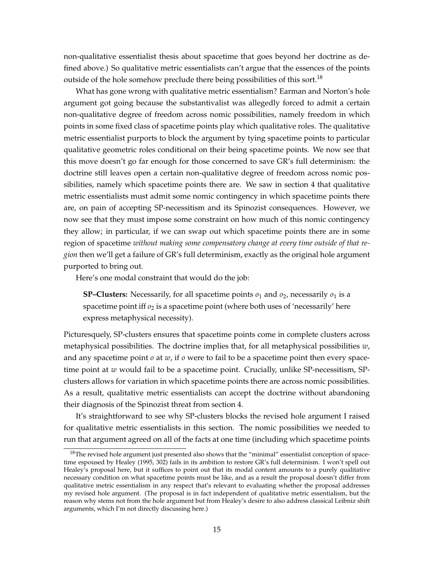non-qualitative essentialist thesis about spacetime that goes beyond her doctrine as defined above.) So qualitative metric essentialists can't argue that the essences of the points outside of the hole somehow preclude there being possibilities of this sort.<sup>[18](#page-14-0)</sup>

What has gone wrong with qualitative metric essentialism? Earman and Norton's hole argument got going because the substantivalist was allegedly forced to admit a certain non-qualitative degree of freedom across nomic possibilities, namely freedom in which points in some fixed class of spacetime points play which qualitative roles. The qualitative metric essentialist purports to block the argument by tying spacetime points to particular qualitative geometric roles conditional on their being spacetime points. We now see that this move doesn't go far enough for those concerned to save GR's full determinism: the doctrine still leaves open a certain non-qualitative degree of freedom across nomic possibilities, namely which spacetime points there are. We saw in section [4](#page-10-0) that qualitative metric essentialists must admit some nomic contingency in which spacetime points there are, on pain of accepting SP-necessitism and its Spinozist consequences. However, we now see that they must impose some constraint on how much of this nomic contingency they allow; in particular, if we can swap out which spacetime points there are in some region of spacetime *without making some compensatory change at every time outside of that region* then we'll get a failure of GR's full determinism, exactly as the original hole argument purported to bring out.

Here's one modal constraint that would do the job:

**SP–Clusters:** Necessarily, for all spacetime points  $o_1$  and  $o_2$ , necessarily  $o_1$  is a spacetime point iff  $o_2$  is a spacetime point (where both uses of 'necessarily' here express metaphysical necessity).

Picturesquely, SP-clusters ensures that spacetime points come in complete clusters across metaphysical possibilities. The doctrine implies that, for all metaphysical possibilities *w*, and any spacetime point *o* at *w*, if *o* were to fail to be a spacetime point then every spacetime point at *w* would fail to be a spacetime point. Crucially, unlike SP-necessitism, SPclusters allows for variation in which spacetime points there are across nomic possibilities. As a result, qualitative metric essentialists can accept the doctrine without abandoning their diagnosis of the Spinozist threat from section [4.](#page-10-0)

It's straightforward to see why SP-clusters blocks the revised hole argument I raised for qualitative metric essentialists in this section. The nomic possibilities we needed to run that argument agreed on all of the facts at one time (including which spacetime points

<span id="page-14-0"></span><sup>&</sup>lt;sup>18</sup>The revised hole argument just presented also shows that the "minimal" essentialist conception of spacetime espoused by [Healey](#page-30-15) [\(1995,](#page-30-15) 302) fails in its ambition to restore GR's full determinism. I won't spell out Healey's proposal here, but it suffices to point out that its modal content amounts to a purely qualitative necessary condition on what spacetime points must be like, and as a result the proposal doesn't differ from qualitative metric essentialism in any respect that's relevant to evaluating whether the proposal addresses my revised hole argument. (The proposal is in fact independent of qualitative metric essentialism, but the reason why stems not from the hole argument but from Healey's desire to also address classical Leibniz shift arguments, which I'm not directly discussing here.)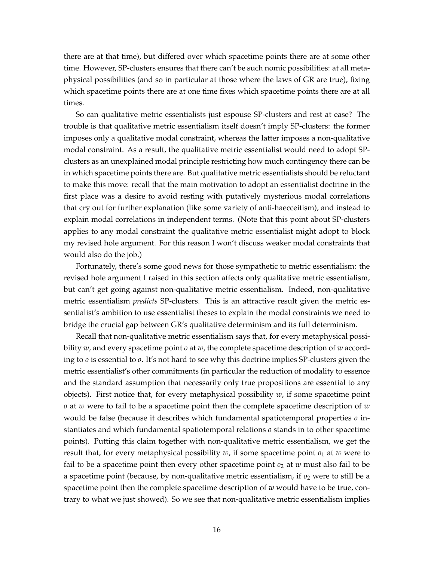there are at that time), but differed over which spacetime points there are at some other time. However, SP-clusters ensures that there can't be such nomic possibilities: at all metaphysical possibilities (and so in particular at those where the laws of GR are true), fixing which spacetime points there are at one time fixes which spacetime points there are at all times.

So can qualitative metric essentialists just espouse SP-clusters and rest at ease? The trouble is that qualitative metric essentialism itself doesn't imply SP-clusters: the former imposes only a qualitative modal constraint, whereas the latter imposes a non-qualitative modal constraint. As a result, the qualitative metric essentialist would need to adopt SPclusters as an unexplained modal principle restricting how much contingency there can be in which spacetime points there are. But qualitative metric essentialists should be reluctant to make this move: recall that the main motivation to adopt an essentialist doctrine in the first place was a desire to avoid resting with putatively mysterious modal correlations that cry out for further explanation (like some variety of anti-haecceitism), and instead to explain modal correlations in independent terms. (Note that this point about SP-clusters applies to any modal constraint the qualitative metric essentialist might adopt to block my revised hole argument. For this reason I won't discuss weaker modal constraints that would also do the job.)

Fortunately, there's some good news for those sympathetic to metric essentialism: the revised hole argument I raised in this section affects only qualitative metric essentialism, but can't get going against non-qualitative metric essentialism. Indeed, non-qualitative metric essentialism *predicts* SP-clusters. This is an attractive result given the metric essentialist's ambition to use essentialist theses to explain the modal constraints we need to bridge the crucial gap between GR's qualitative determinism and its full determinism.

Recall that non-qualitative metric essentialism says that, for every metaphysical possibility *w*, and every spacetime point *o* at *w*, the complete spacetime description of *w* according to *o* is essential to *o*. It's not hard to see why this doctrine implies SP-clusters given the metric essentialist's other commitments (in particular the reduction of modality to essence and the standard assumption that necessarily only true propositions are essential to any objects). First notice that, for every metaphysical possibility *w*, if some spacetime point *o* at *w* were to fail to be a spacetime point then the complete spacetime description of *w* would be false (because it describes which fundamental spatiotemporal properties *o* instantiates and which fundamental spatiotemporal relations *o* stands in to other spacetime points). Putting this claim together with non-qualitative metric essentialism, we get the result that, for every metaphysical possibility  $w$ , if some spacetime point  $o_1$  at  $w$  were to fail to be a spacetime point then every other spacetime point  $o_2$  at  $w$  must also fail to be a spacetime point (because, by non-qualitative metric essentialism, if  $o_2$  were to still be a spacetime point then the complete spacetime description of *w* would have to be true, contrary to what we just showed). So we see that non-qualitative metric essentialism implies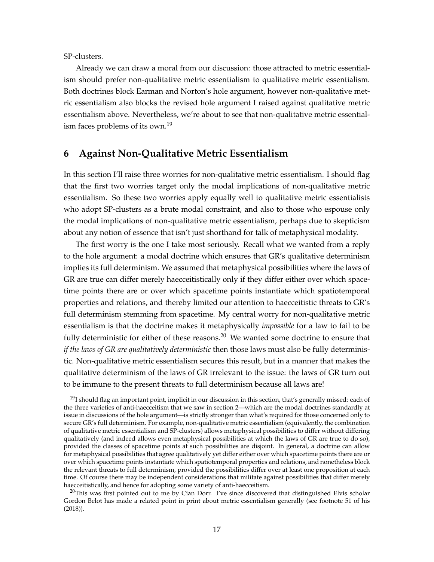SP-clusters.

Already we can draw a moral from our discussion: those attracted to metric essentialism should prefer non-qualitative metric essentialism to qualitative metric essentialism. Both doctrines block Earman and Norton's hole argument, however non-qualitative metric essentialism also blocks the revised hole argument I raised against qualitative metric essentialism above. Nevertheless, we're about to see that non-qualitative metric essential-ism faces problems of its own.<sup>[19](#page-16-1)</sup>

# <span id="page-16-0"></span>**6 Against Non-Qualitative Metric Essentialism**

In this section I'll raise three worries for non-qualitative metric essentialism. I should flag that the first two worries target only the modal implications of non-qualitative metric essentialism. So these two worries apply equally well to qualitative metric essentialists who adopt SP-clusters as a brute modal constraint, and also to those who espouse only the modal implications of non-qualitative metric essentialism, perhaps due to skepticism about any notion of essence that isn't just shorthand for talk of metaphysical modality.

The first worry is the one I take most seriously. Recall what we wanted from a reply to the hole argument: a modal doctrine which ensures that GR's qualitative determinism implies its full determinism. We assumed that metaphysical possibilities where the laws of GR are true can differ merely haecceitistically only if they differ either over which spacetime points there are or over which spacetime points instantiate which spatiotemporal properties and relations, and thereby limited our attention to haecceitistic threats to GR's full determinism stemming from spacetime. My central worry for non-qualitative metric essentialism is that the doctrine makes it metaphysically *impossible* for a law to fail to be fully deterministic for either of these reasons.<sup>[20](#page-16-2)</sup> We wanted some doctrine to ensure that *if the laws of GR are qualitatively deterministic* then those laws must also be fully deterministic. Non-qualitative metric essentialism secures this result, but in a manner that makes the qualitative determinism of the laws of GR irrelevant to the issue: the laws of GR turn out to be immune to the present threats to full determinism because all laws are!

<span id="page-16-1"></span> $19$ I should flag an important point, implicit in our discussion in this section, that's generally missed: each of the three varieties of anti-haecceitism that we saw in section [2—](#page-4-0)which are the modal doctrines standardly at issue in discussions of the hole argument—is strictly stronger than what's required for those concerned only to secure GR's full determinism. For example, non-qualitative metric essentialism (equivalently, the combination of qualitative metric essentialism and SP-clusters) allows metaphysical possibilities to differ without differing qualitatively (and indeed allows even metaphysical possibilities at which the laws of GR are true to do so), provided the classes of spacetime points at such possibilities are disjoint. In general, a doctrine can allow for metaphysical possibilities that agree qualitatively yet differ either over which spacetime points there are or over which spacetime points instantiate which spatiotemporal properties and relations, and nonetheless block the relevant threats to full determinism, provided the possibilities differ over at least one proposition at each time. Of course there may be independent considerations that militate against possibilities that differ merely haecceitistically, and hence for adopting some variety of anti-haecceitism.

<span id="page-16-2"></span> $20$ This was first pointed out to me by Cian Dorr. I've since discovered that distinguished Elvis scholar Gordon Belot has made a related point in print about metric essentialism generally (see footnote 51 of his [\(2018\)](#page-30-16)).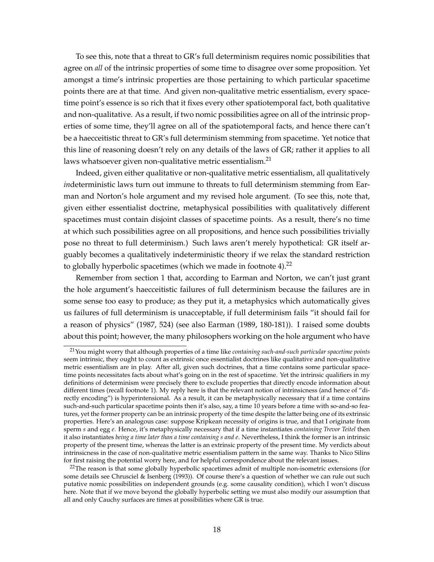To see this, note that a threat to GR's full determinism requires nomic possibilities that agree on *all* of the intrinsic properties of some time to disagree over some proposition. Yet amongst a time's intrinsic properties are those pertaining to which particular spacetime points there are at that time. And given non-qualitative metric essentialism, every spacetime point's essence is so rich that it fixes every other spatiotemporal fact, both qualitative and non-qualitative. As a result, if two nomic possibilities agree on all of the intrinsic properties of some time, they'll agree on all of the spatiotemporal facts, and hence there can't be a haecceitistic threat to GR's full determinism stemming from spacetime. Yet notice that this line of reasoning doesn't rely on any details of the laws of GR; rather it applies to all laws whatsoever given non-qualitative metric essentialism.<sup>[21](#page-17-0)</sup>

Indeed, given either qualitative or non-qualitative metric essentialism, all qualitatively *in*deterministic laws turn out immune to threats to full determinism stemming from Earman and Norton's hole argument and my revised hole argument. (To see this, note that, given either essentialist doctrine, metaphysical possibilities with qualitatively different spacetimes must contain disjoint classes of spacetime points. As a result, there's no time at which such possibilities agree on all propositions, and hence such possibilities trivially pose no threat to full determinism.) Such laws aren't merely hypothetical: GR itself arguably becomes a qualitatively indeterministic theory if we relax the standard restriction to globally hyperbolic spacetimes (which we made in footnote  $4$ ).<sup>[22](#page-17-1)</sup>

Remember from section [1](#page-1-2) that, according to Earman and Norton, we can't just grant the hole argument's haecceitistic failures of full determinism because the failures are in some sense too easy to produce; as they put it, a metaphysics which automatically gives us failures of full determinism is unacceptable, if full determinism fails "it should fail for a reason of physics" [\(1987,](#page-30-0) 524) (see also [Earman](#page-30-4) [\(1989,](#page-30-4) 180-181)). I raised some doubts about this point; however, the many philosophers working on the hole argument who have

<span id="page-17-0"></span><sup>21</sup>You might worry that although properties of a time like *containing such-and-such particular spacetime points* seem intrinsic, they ought to count as extrinsic once essentialist doctrines like qualitative and non-qualitative metric essentialism are in play. After all, given such doctrines, that a time contains some particular spacetime points necessitates facts about what's going on in the rest of spacetime. Yet the intrinsic qualifiers in my definitions of determinism were precisely there to exclude properties that directly encode information about different times (recall footnote [1\)](#page-1-0). My reply here is that the relevant notion of intrinsicness (and hence of "directly encoding") is hyperintensional. As a result, it can be metaphysically necessary that if a time contains such-and-such particular spacetime points then it's also, say, a time 10 years before a time with so-and-so features, yet the former property can be an intrinsic property of the time despite the latter being one of its extrinsic properties. Here's an analogous case: suppose Kripkean necessity of origins is true, and that I originate from sperm *s* and egg *e*. Hence, it's metaphysically necessary that if a time instantiates *containing Trevor Teitel* then it also instantiates *being a time later than a time containing s and e*. Nevertheless, I think the former is an intrinsic property of the present time, whereas the latter is an extrinsic property of the present time. My verdicts about intrinsicness in the case of non-qualitative metric essentialism pattern in the same way. Thanks to Nico Silins for first raising the potential worry here, and for helpful correspondence about the relevant issues.

<span id="page-17-1"></span> $22$ The reason is that some globally hyperbolic spacetimes admit of multiple non-isometric extensions (for some details see [Chrusciel & Isenberg](#page-30-17) [\(1993\)](#page-30-17)). Of course there's a question of whether we can rule out such putative nomic possibilities on independent grounds (e.g. some causality condition), which I won't discuss here. Note that if we move beyond the globally hyperbolic setting we must also modify our assumption that all and only Cauchy surfaces are times at possibilities where GR is true.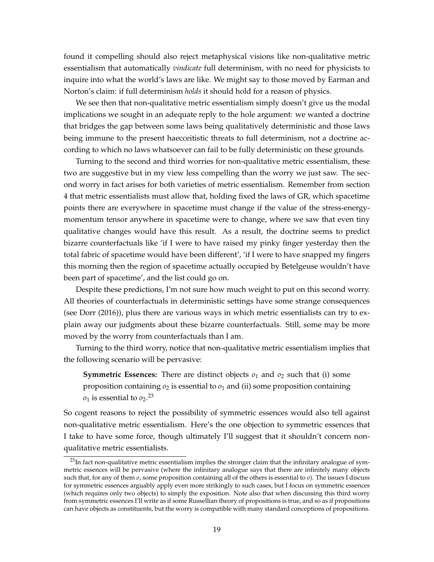found it compelling should also reject metaphysical visions like non-qualitative metric essentialism that automatically *vindicate* full determinism, with no need for physicists to inquire into what the world's laws are like. We might say to those moved by Earman and Norton's claim: if full determinism *holds* it should hold for a reason of physics.

We see then that non-qualitative metric essentialism simply doesn't give us the modal implications we sought in an adequate reply to the hole argument: we wanted a doctrine that bridges the gap between some laws being qualitatively deterministic and those laws being immune to the present haecceitistic threats to full determinism, not a doctrine according to which no laws whatsoever can fail to be fully deterministic on these grounds.

Turning to the second and third worries for non-qualitative metric essentialism, these two are suggestive but in my view less compelling than the worry we just saw. The second worry in fact arises for both varieties of metric essentialism. Remember from section [4](#page-10-0) that metric essentialists must allow that, holding fixed the laws of GR, which spacetime points there are everywhere in spacetime must change if the value of the stress-energymomentum tensor anywhere in spacetime were to change, where we saw that even tiny qualitative changes would have this result. As a result, the doctrine seems to predict bizarre counterfactuals like 'if I were to have raised my pinky finger yesterday then the total fabric of spacetime would have been different', 'if I were to have snapped my fingers this morning then the region of spacetime actually occupied by Betelgeuse wouldn't have been part of spacetime', and the list could go on.

Despite these predictions, I'm not sure how much weight to put on this second worry. All theories of counterfactuals in deterministic settings have some strange consequences (see [Dorr](#page-30-18) [\(2016\)](#page-30-18)), plus there are various ways in which metric essentialists can try to explain away our judgments about these bizarre counterfactuals. Still, some may be more moved by the worry from counterfactuals than I am.

Turning to the third worry, notice that non-qualitative metric essentialism implies that the following scenario will be pervasive:

**Symmetric Essences:** There are distinct objects  $o_1$  and  $o_2$  such that (i) some proposition containing  $\rho_2$  is essential to  $\rho_1$  and (ii) some proposition containing  $o_1$  is essential to  $o_2$ .<sup>[23](#page-18-0)</sup>

So cogent reasons to reject the possibility of symmetric essences would also tell against non-qualitative metric essentialism. Here's the one objection to symmetric essences that I take to have some force, though ultimately I'll suggest that it shouldn't concern nonqualitative metric essentialists.

<span id="page-18-0"></span><sup>&</sup>lt;sup>23</sup>In fact non-qualitative metric essentialism implies the stronger claim that the infinitary analogue of symmetric essences will be pervasive (where the infinitary analogue says that there are infinitely many objects such that, for any of them *o*, some proposition containing all of the others is essential to *o*). The issues I discuss for symmetric essences arguably apply even more strikingly to such cases, but I focus on symmetric essences (which requires only two objects) to simply the exposition. Note also that when discussing this third worry from symmetric essences I'll write as if some Russellian theory of propositions is true, and so as if propositions can have objects as constituents, but the worry is compatible with many standard conceptions of propositions.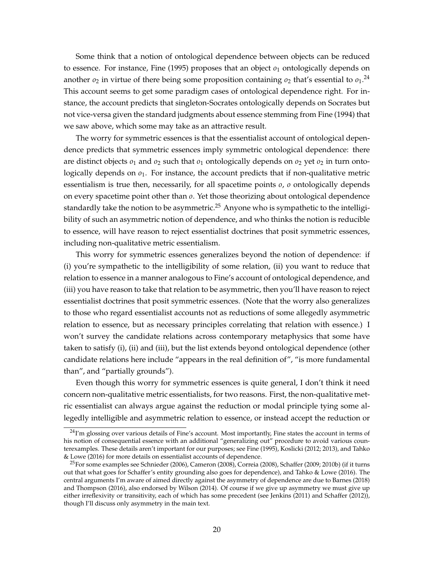Some think that a notion of ontological dependence between objects can be reduced to essence. For instance, [Fine](#page-30-19)  $(1995)$  proposes that an object  $o<sub>1</sub>$  ontologically depends on another  $o_2$  in virtue of there being some proposition containing  $o_2$  that's essential to  $o_1$ .<sup>[24](#page-19-0)</sup> This account seems to get some paradigm cases of ontological dependence right. For instance, the account predicts that singleton-Socrates ontologically depends on Socrates but not vice-versa given the standard judgments about essence stemming from [Fine](#page-30-8) [\(1994\)](#page-30-8) that we saw above, which some may take as an attractive result.

The worry for symmetric essences is that the essentialist account of ontological dependence predicts that symmetric essences imply symmetric ontological dependence: there are distinct objects *o*<sup>1</sup> and *o*<sup>2</sup> such that *o*<sup>1</sup> ontologically depends on *o*<sup>2</sup> yet *o*<sup>2</sup> in turn ontologically depends on  $o_1$ . For instance, the account predicts that if non-qualitative metric essentialism is true then, necessarily, for all spacetime points *o*, *o* ontologically depends on every spacetime point other than *o*. Yet those theorizing about ontological dependence standardly take the notion to be asymmetric.<sup>[25](#page-19-1)</sup> Anyone who is sympathetic to the intelligibility of such an asymmetric notion of dependence, and who thinks the notion is reducible to essence, will have reason to reject essentialist doctrines that posit symmetric essences, including non-qualitative metric essentialism.

This worry for symmetric essences generalizes beyond the notion of dependence: if (i) you're sympathetic to the intelligibility of some relation, (ii) you want to reduce that relation to essence in a manner analogous to Fine's account of ontological dependence, and (iii) you have reason to take that relation to be asymmetric, then you'll have reason to reject essentialist doctrines that posit symmetric essences. (Note that the worry also generalizes to those who regard essentialist accounts not as reductions of some allegedly asymmetric relation to essence, but as necessary principles correlating that relation with essence.) I won't survey the candidate relations across contemporary metaphysics that some have taken to satisfy (i), (ii) and (iii), but the list extends beyond ontological dependence (other candidate relations here include "appears in the real definition of", "is more fundamental than", and "partially grounds").

Even though this worry for symmetric essences is quite general, I don't think it need concern non-qualitative metric essentialists, for two reasons. First, the non-qualitative metric essentialist can always argue against the reduction or modal principle tying some allegedly intelligible and asymmetric relation to essence, or instead accept the reduction or

<span id="page-19-0"></span> $24$ I'm glossing over various details of Fine's account. Most importantly, Fine states the account in terms of his notion of consequential essence with an additional "generalizing out" procedure to avoid various counterexamples. These details aren't important for our purposes; see [Fine](#page-30-19) [\(1995\)](#page-30-19), Koslicki [\(2012;](#page-31-15) [2013\)](#page-31-16), and [Tahko](#page-32-6) [& Lowe](#page-32-6) [\(2016\)](#page-32-6) for more details on essentialist accounts of dependence.

<span id="page-19-1"></span><sup>25</sup>For some examples see [Schnieder](#page-31-17) [\(2006\)](#page-31-17), [Cameron](#page-30-20) [\(2008\)](#page-30-20), [Correia](#page-30-21) [\(2008\)](#page-30-21), Schaffer [\(2009;](#page-31-7) [2010b\)](#page-31-18) (if it turns out that what goes for Schaffer's entity grounding also goes for dependence), and [Tahko & Lowe](#page-32-6) [\(2016\)](#page-32-6). The central arguments I'm aware of aimed directly against the asymmetry of dependence are due to [Barnes](#page-30-22) [\(2018\)](#page-30-22) and [Thompson](#page-32-7) [\(2016\)](#page-32-7), also endorsed by [Wilson](#page-32-8) [\(2014\)](#page-32-8). Of course if we give up asymmetry we must give up either irreflexivity or transitivity, each of which has some precedent (see [Jenkins](#page-30-23) [\(2011\)](#page-30-23) and [Schaffer](#page-31-19) [\(2012\)](#page-31-19)), though I'll discuss only asymmetry in the main text.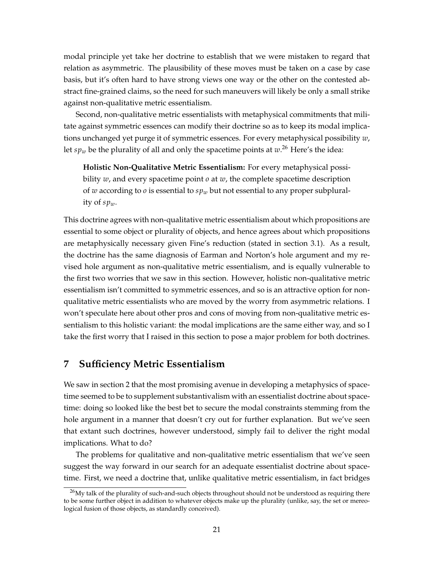modal principle yet take her doctrine to establish that we were mistaken to regard that relation as asymmetric. The plausibility of these moves must be taken on a case by case basis, but it's often hard to have strong views one way or the other on the contested abstract fine-grained claims, so the need for such maneuvers will likely be only a small strike against non-qualitative metric essentialism.

Second, non-qualitative metric essentialists with metaphysical commitments that militate against symmetric essences can modify their doctrine so as to keep its modal implications unchanged yet purge it of symmetric essences. For every metaphysical possibility *w*, let  $sp_w$  be the plurality of all and only the spacetime points at  $w.^{26}$  $w.^{26}$  $w.^{26}$  Here's the idea:

**Holistic Non-Qualitative Metric Essentialism:** For every metaphysical possibility *w*, and every spacetime point *o* at *w*, the complete spacetime description of *w* according to *o* is essential to *sp<sup>w</sup>* but not essential to any proper subplurality of *spw*.

This doctrine agrees with non-qualitative metric essentialism about which propositions are essential to some object or plurality of objects, and hence agrees about which propositions are metaphysically necessary given Fine's reduction (stated in section [3.1\)](#page-7-0). As a result, the doctrine has the same diagnosis of Earman and Norton's hole argument and my revised hole argument as non-qualitative metric essentialism, and is equally vulnerable to the first two worries that we saw in this section. However, holistic non-qualitative metric essentialism isn't committed to symmetric essences, and so is an attractive option for nonqualitative metric essentialists who are moved by the worry from asymmetric relations. I won't speculate here about other pros and cons of moving from non-qualitative metric essentialism to this holistic variant: the modal implications are the same either way, and so I take the first worry that I raised in this section to pose a major problem for both doctrines.

### **7 Sufficiency Metric Essentialism**

We saw in section [2](#page-4-0) that the most promising avenue in developing a metaphysics of spacetime seemed to be to supplement substantivalism with an essentialist doctrine about spacetime: doing so looked like the best bet to secure the modal constraints stemming from the hole argument in a manner that doesn't cry out for further explanation. But we've seen that extant such doctrines, however understood, simply fail to deliver the right modal implications. What to do?

The problems for qualitative and non-qualitative metric essentialism that we've seen suggest the way forward in our search for an adequate essentialist doctrine about spacetime. First, we need a doctrine that, unlike qualitative metric essentialism, in fact bridges

<span id="page-20-0"></span> $^{26}$ My talk of the plurality of such-and-such objects throughout should not be understood as requiring there to be some further object in addition to whatever objects make up the plurality (unlike, say, the set or mereological fusion of those objects, as standardly conceived).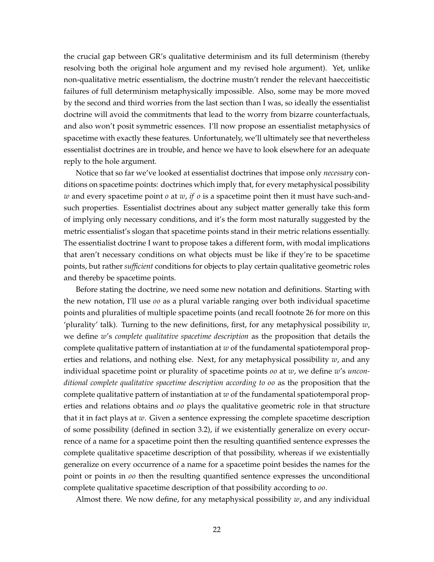the crucial gap between GR's qualitative determinism and its full determinism (thereby resolving both the original hole argument and my revised hole argument). Yet, unlike non-qualitative metric essentialism, the doctrine mustn't render the relevant haecceitistic failures of full determinism metaphysically impossible. Also, some may be more moved by the second and third worries from the last section than I was, so ideally the essentialist doctrine will avoid the commitments that lead to the worry from bizarre counterfactuals, and also won't posit symmetric essences. I'll now propose an essentialist metaphysics of spacetime with exactly these features. Unfortunately, we'll ultimately see that nevertheless essentialist doctrines are in trouble, and hence we have to look elsewhere for an adequate reply to the hole argument.

Notice that so far we've looked at essentialist doctrines that impose only *necessary* conditions on spacetime points: doctrines which imply that, for every metaphysical possibility *w* and every spacetime point *o* at *w*, *if o* is a spacetime point then it must have such-andsuch properties. Essentialist doctrines about any subject matter generally take this form of implying only necessary conditions, and it's the form most naturally suggested by the metric essentialist's slogan that spacetime points stand in their metric relations essentially. The essentialist doctrine I want to propose takes a different form, with modal implications that aren't necessary conditions on what objects must be like if they're to be spacetime points, but rather *sufficient* conditions for objects to play certain qualitative geometric roles and thereby be spacetime points.

Before stating the doctrine, we need some new notation and definitions. Starting with the new notation, I'll use *oo* as a plural variable ranging over both individual spacetime points and pluralities of multiple spacetime points (and recall footnote [26](#page-20-0) for more on this 'plurality' talk). Turning to the new definitions, first, for any metaphysical possibility *w*, we define *w*'s *complete qualitative spacetime description* as the proposition that details the complete qualitative pattern of instantiation at *w* of the fundamental spatiotemporal properties and relations, and nothing else. Next, for any metaphysical possibility *w*, and any individual spacetime point or plurality of spacetime points *oo* at *w*, we define *w*'s *unconditional complete qualitative spacetime description according to oo* as the proposition that the complete qualitative pattern of instantiation at *w* of the fundamental spatiotemporal properties and relations obtains and *oo* plays the qualitative geometric role in that structure that it in fact plays at *w*. Given a sentence expressing the complete spacetime description of some possibility (defined in section [3.2\)](#page-9-2), if we existentially generalize on every occurrence of a name for a spacetime point then the resulting quantified sentence expresses the complete qualitative spacetime description of that possibility, whereas if we existentially generalize on every occurrence of a name for a spacetime point besides the names for the point or points in *oo* then the resulting quantified sentence expresses the unconditional complete qualitative spacetime description of that possibility according to *oo*.

Almost there. We now define, for any metaphysical possibility *w*, and any individual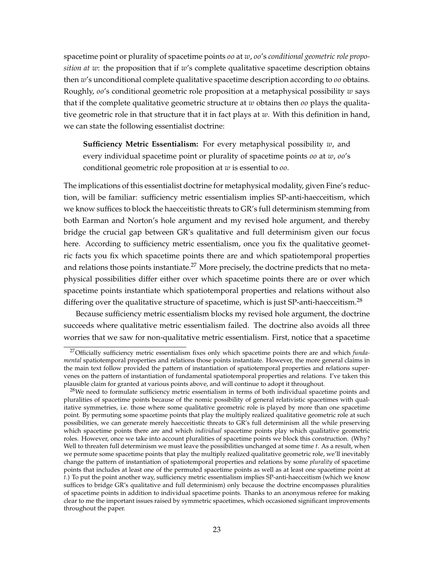spacetime point or plurality of spacetime points *oo* at *w*, *oo*'s *conditional geometric role proposition at w*: the proposition that if *w*'s complete qualitative spacetime description obtains then *w*'s unconditional complete qualitative spacetime description according to *oo* obtains. Roughly, *oo*'s conditional geometric role proposition at a metaphysical possibility *w* says that if the complete qualitative geometric structure at *w* obtains then *oo* plays the qualitative geometric role in that structure that it in fact plays at *w*. With this definition in hand, we can state the following essentialist doctrine:

**Sufficiency Metric Essentialism:** For every metaphysical possibility *w*, and every individual spacetime point or plurality of spacetime points *oo* at *w*, *oo*'s conditional geometric role proposition at *w* is essential to *oo*.

The implications of this essentialist doctrine for metaphysical modality, given Fine's reduction, will be familiar: sufficiency metric essentialism implies SP-anti-haecceitism, which we know suffices to block the haecceitistic threats to GR's full determinism stemming from both Earman and Norton's hole argument and my revised hole argument, and thereby bridge the crucial gap between GR's qualitative and full determinism given our focus here. According to sufficiency metric essentialism, once you fix the qualitative geometric facts you fix which spacetime points there are and which spatiotemporal properties and relations those points instantiate.<sup>[27](#page-22-0)</sup> More precisely, the doctrine predicts that no metaphysical possibilities differ either over which spacetime points there are or over which spacetime points instantiate which spatiotemporal properties and relations without also differing over the qualitative structure of spacetime, which is just SP-anti-haecceitism.<sup>[28](#page-22-1)</sup>

Because sufficiency metric essentialism blocks my revised hole argument, the doctrine succeeds where qualitative metric essentialism failed. The doctrine also avoids all three worries that we saw for non-qualitative metric essentialism. First, notice that a spacetime

<span id="page-22-0"></span><sup>27</sup>Officially sufficiency metric essentialism fixes only which spacetime points there are and which *fundamental* spatiotemporal properties and relations those points instantiate. However, the more general claims in the main text follow provided the pattern of instantiation of spatiotemporal properties and relations supervenes on the pattern of instantiation of fundamental spatiotemporal properties and relations. I've taken this plausible claim for granted at various points above, and will continue to adopt it throughout.

<span id="page-22-1"></span><sup>&</sup>lt;sup>28</sup>We need to formulate sufficiency metric essentialism in terms of both individual spacetime points and pluralities of spacetime points because of the nomic possibility of general relativistic spacetimes with qualitative symmetries, i.e. those where some qualitative geometric role is played by more than one spacetime point. By permuting some spacetime points that play the multiply realized qualitative geometric role at such possibilities, we can generate merely haecceitistic threats to GR's full determinism all the while preserving which spacetime points there are and which *individual* spacetime points play which qualitative geometric roles. However, once we take into account pluralities of spacetime points we block this construction. (Why? Well to threaten full determinism we must leave the possibilities unchanged at some time *t*. As a result, when we permute some spacetime points that play the multiply realized qualitative geometric role, we'll inevitably change the pattern of instantiation of spatiotemporal properties and relations by some *plurality* of spacetime points that includes at least one of the permuted spacetime points as well as at least one spacetime point at *t*.) To put the point another way, sufficiency metric essentialism implies SP-anti-haecceitism (which we know suffices to bridge GR's qualitative and full determinism) only because the doctrine encompasses pluralities of spacetime points in addition to individual spacetime points. Thanks to an anonymous referee for making clear to me the important issues raised by symmetric spacetimes, which occasioned significant improvements throughout the paper.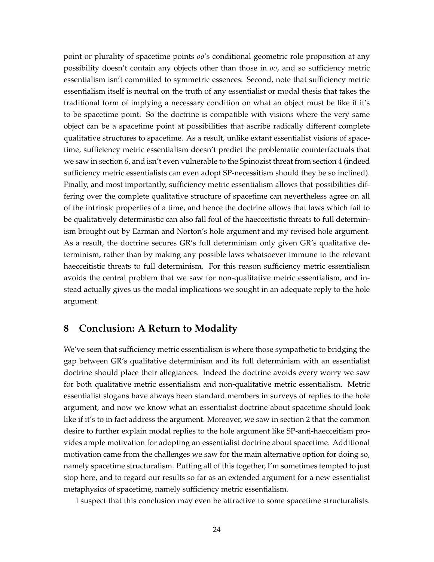point or plurality of spacetime points *oo*'s conditional geometric role proposition at any possibility doesn't contain any objects other than those in *oo*, and so sufficiency metric essentialism isn't committed to symmetric essences. Second, note that sufficiency metric essentialism itself is neutral on the truth of any essentialist or modal thesis that takes the traditional form of implying a necessary condition on what an object must be like if it's to be spacetime point. So the doctrine is compatible with visions where the very same object can be a spacetime point at possibilities that ascribe radically different complete qualitative structures to spacetime. As a result, unlike extant essentialist visions of spacetime, sufficiency metric essentialism doesn't predict the problematic counterfactuals that we saw in section [6,](#page-16-0) and isn't even vulnerable to the Spinozist threat from section [4](#page-10-0) (indeed sufficiency metric essentialists can even adopt SP-necessitism should they be so inclined). Finally, and most importantly, sufficiency metric essentialism allows that possibilities differing over the complete qualitative structure of spacetime can nevertheless agree on all of the intrinsic properties of a time, and hence the doctrine allows that laws which fail to be qualitatively deterministic can also fall foul of the haecceitistic threats to full determinism brought out by Earman and Norton's hole argument and my revised hole argument. As a result, the doctrine secures GR's full determinism only given GR's qualitative determinism, rather than by making any possible laws whatsoever immune to the relevant haecceitistic threats to full determinism. For this reason sufficiency metric essentialism avoids the central problem that we saw for non-qualitative metric essentialism, and instead actually gives us the modal implications we sought in an adequate reply to the hole argument.

### **8 Conclusion: A Return to Modality**

We've seen that sufficiency metric essentialism is where those sympathetic to bridging the gap between GR's qualitative determinism and its full determinism with an essentialist doctrine should place their allegiances. Indeed the doctrine avoids every worry we saw for both qualitative metric essentialism and non-qualitative metric essentialism. Metric essentialist slogans have always been standard members in surveys of replies to the hole argument, and now we know what an essentialist doctrine about spacetime should look like if it's to in fact address the argument. Moreover, we saw in section [2](#page-4-0) that the common desire to further explain modal replies to the hole argument like SP-anti-haecceitism provides ample motivation for adopting an essentialist doctrine about spacetime. Additional motivation came from the challenges we saw for the main alternative option for doing so, namely spacetime structuralism. Putting all of this together, I'm sometimes tempted to just stop here, and to regard our results so far as an extended argument for a new essentialist metaphysics of spacetime, namely sufficiency metric essentialism.

I suspect that this conclusion may even be attractive to some spacetime structuralists.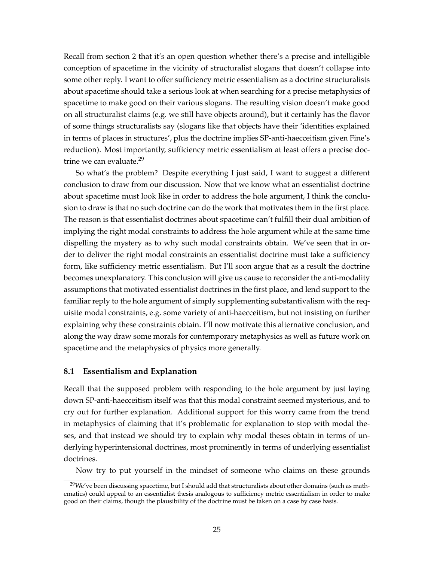Recall from section [2](#page-4-0) that it's an open question whether there's a precise and intelligible conception of spacetime in the vicinity of structuralist slogans that doesn't collapse into some other reply. I want to offer sufficiency metric essentialism as a doctrine structuralists about spacetime should take a serious look at when searching for a precise metaphysics of spacetime to make good on their various slogans. The resulting vision doesn't make good on all structuralist claims (e.g. we still have objects around), but it certainly has the flavor of some things structuralists say (slogans like that objects have their 'identities explained in terms of places in structures', plus the doctrine implies SP-anti-haecceitism given Fine's reduction). Most importantly, sufficiency metric essentialism at least offers a precise doc-trine we can evaluate.<sup>[29](#page-24-0)</sup>

So what's the problem? Despite everything I just said, I want to suggest a different conclusion to draw from our discussion. Now that we know what an essentialist doctrine about spacetime must look like in order to address the hole argument, I think the conclusion to draw is that no such doctrine can do the work that motivates them in the first place. The reason is that essentialist doctrines about spacetime can't fulfill their dual ambition of implying the right modal constraints to address the hole argument while at the same time dispelling the mystery as to why such modal constraints obtain. We've seen that in order to deliver the right modal constraints an essentialist doctrine must take a sufficiency form, like sufficiency metric essentialism. But I'll soon argue that as a result the doctrine becomes unexplanatory. This conclusion will give us cause to reconsider the anti-modality assumptions that motivated essentialist doctrines in the first place, and lend support to the familiar reply to the hole argument of simply supplementing substantivalism with the requisite modal constraints, e.g. some variety of anti-haecceitism, but not insisting on further explaining why these constraints obtain. I'll now motivate this alternative conclusion, and along the way draw some morals for contemporary metaphysics as well as future work on spacetime and the metaphysics of physics more generally.

#### **8.1 Essentialism and Explanation**

Recall that the supposed problem with responding to the hole argument by just laying down SP-anti-haecceitism itself was that this modal constraint seemed mysterious, and to cry out for further explanation. Additional support for this worry came from the trend in metaphysics of claiming that it's problematic for explanation to stop with modal theses, and that instead we should try to explain why modal theses obtain in terms of underlying hyperintensional doctrines, most prominently in terms of underlying essentialist doctrines.

Now try to put yourself in the mindset of someone who claims on these grounds

<span id="page-24-0"></span> $29$ We've been discussing spacetime, but I should add that structuralists about other domains (such as mathematics) could appeal to an essentialist thesis analogous to sufficiency metric essentialism in order to make good on their claims, though the plausibility of the doctrine must be taken on a case by case basis.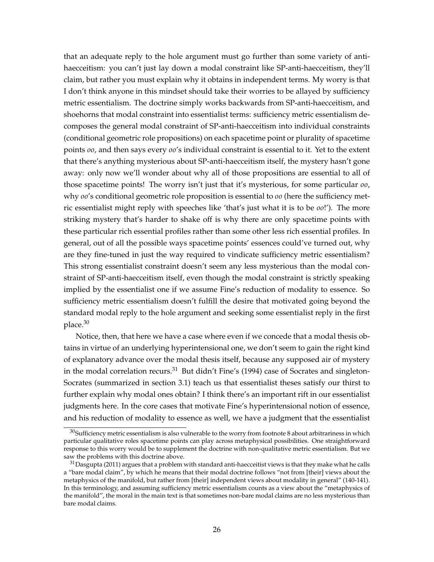that an adequate reply to the hole argument must go further than some variety of antihaecceitism: you can't just lay down a modal constraint like SP-anti-haecceitism, they'll claim, but rather you must explain why it obtains in independent terms. My worry is that I don't think anyone in this mindset should take their worries to be allayed by sufficiency metric essentialism. The doctrine simply works backwards from SP-anti-haecceitism, and shoehorns that modal constraint into essentialist terms: sufficiency metric essentialism decomposes the general modal constraint of SP-anti-haecceitism into individual constraints (conditional geometric role propositions) on each spacetime point or plurality of spacetime points *oo*, and then says every *oo*'s individual constraint is essential to it. Yet to the extent that there's anything mysterious about SP-anti-haecceitism itself, the mystery hasn't gone away: only now we'll wonder about why all of those propositions are essential to all of those spacetime points! The worry isn't just that it's mysterious, for some particular *oo*, why *oo*'s conditional geometric role proposition is essential to *oo* (here the sufficiency metric essentialist might reply with speeches like 'that's just what it is to be *oo*!'). The more striking mystery that's harder to shake off is why there are only spacetime points with these particular rich essential profiles rather than some other less rich essential profiles. In general, out of all the possible ways spacetime points' essences could've turned out, why are they fine-tuned in just the way required to vindicate sufficiency metric essentialism? This strong essentialist constraint doesn't seem any less mysterious than the modal constraint of SP-anti-haecceitism itself, even though the modal constraint is strictly speaking implied by the essentialist one if we assume Fine's reduction of modality to essence. So sufficiency metric essentialism doesn't fulfill the desire that motivated going beyond the standard modal reply to the hole argument and seeking some essentialist reply in the first place.[30](#page-25-0)

Notice, then, that here we have a case where even if we concede that a modal thesis obtains in virtue of an underlying hyperintensional one, we don't seem to gain the right kind of explanatory advance over the modal thesis itself, because any supposed air of mystery in the modal correlation recurs.<sup>[31](#page-25-1)</sup> But didn't Fine's [\(1994\)](#page-30-8) case of Socrates and singleton-Socrates (summarized in section [3.1\)](#page-7-0) teach us that essentialist theses satisfy our thirst to further explain why modal ones obtain? I think there's an important rift in our essentialist judgments here. In the core cases that motivate Fine's hyperintensional notion of essence, and his reduction of modality to essence as well, we have a judgment that the essentialist

<span id="page-25-0"></span><sup>30</sup>Sufficiency metric essentialism is also vulnerable to the worry from footnote [8](#page-5-2) about arbitrariness in which particular qualitative roles spacetime points can play across metaphysical possibilities. One straightforward response to this worry would be to supplement the doctrine with non-qualitative metric essentialism. But we saw the problems with this doctrine above.

<span id="page-25-1"></span> $31$ [Dasgupta](#page-30-10) [\(2011\)](#page-30-10) argues that a problem with standard anti-haecceitist views is that they make what he calls a "bare modal claim", by which he means that their modal doctrine follows "not from [their] views about the metaphysics of the manifold, but rather from [their] independent views about modality in general" (140-141). In this terminology, and assuming sufficiency metric essentialism counts as a view about the "metaphysics of the manifold", the moral in the main text is that sometimes non-bare modal claims are no less mysterious than bare modal claims.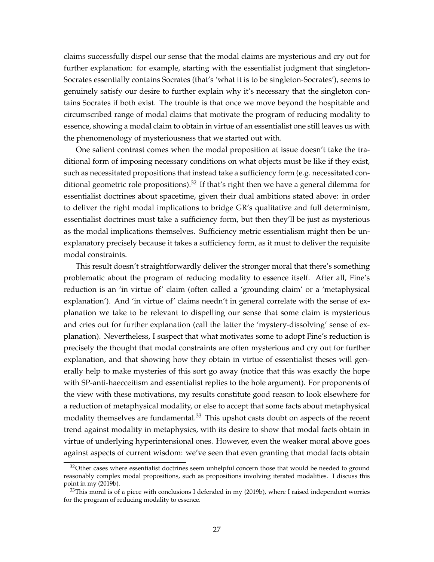claims successfully dispel our sense that the modal claims are mysterious and cry out for further explanation: for example, starting with the essentialist judgment that singleton-Socrates essentially contains Socrates (that's 'what it is to be singleton-Socrates'), seems to genuinely satisfy our desire to further explain why it's necessary that the singleton contains Socrates if both exist. The trouble is that once we move beyond the hospitable and circumscribed range of modal claims that motivate the program of reducing modality to essence, showing a modal claim to obtain in virtue of an essentialist one still leaves us with the phenomenology of mysteriousness that we started out with.

One salient contrast comes when the modal proposition at issue doesn't take the traditional form of imposing necessary conditions on what objects must be like if they exist, such as necessitated propositions that instead take a sufficiency form (e.g. necessitated con-ditional geometric role propositions).<sup>[32](#page-26-0)</sup> If that's right then we have a general dilemma for essentialist doctrines about spacetime, given their dual ambitions stated above: in order to deliver the right modal implications to bridge GR's qualitative and full determinism, essentialist doctrines must take a sufficiency form, but then they'll be just as mysterious as the modal implications themselves. Sufficiency metric essentialism might then be unexplanatory precisely because it takes a sufficiency form, as it must to deliver the requisite modal constraints.

This result doesn't straightforwardly deliver the stronger moral that there's something problematic about the program of reducing modality to essence itself. After all, Fine's reduction is an 'in virtue of' claim (often called a 'grounding claim' or a 'metaphysical explanation'). And 'in virtue of' claims needn't in general correlate with the sense of explanation we take to be relevant to dispelling our sense that some claim is mysterious and cries out for further explanation (call the latter the 'mystery-dissolving' sense of explanation). Nevertheless, I suspect that what motivates some to adopt Fine's reduction is precisely the thought that modal constraints are often mysterious and cry out for further explanation, and that showing how they obtain in virtue of essentialist theses will generally help to make mysteries of this sort go away (notice that this was exactly the hope with SP-anti-haecceitism and essentialist replies to the hole argument). For proponents of the view with these motivations, my results constitute good reason to look elsewhere for a reduction of metaphysical modality, or else to accept that some facts about metaphysical modality themselves are fundamental. $33$  This upshot casts doubt on aspects of the recent trend against modality in metaphysics, with its desire to show that modal facts obtain in virtue of underlying hyperintensional ones. However, even the weaker moral above goes against aspects of current wisdom: we've seen that even granting that modal facts obtain

<span id="page-26-0"></span> $32$ Other cases where essentialist doctrines seem unhelpful concern those that would be needed to ground reasonably complex modal propositions, such as propositions involving iterated modalities. I discuss this point in my [\(2019b\)](#page-32-5).

<span id="page-26-1"></span><sup>&</sup>lt;sup>33</sup>This moral is of a piece with conclusions I defended in my [\(2019b\)](#page-32-5), where I raised independent worries for the program of reducing modality to essence.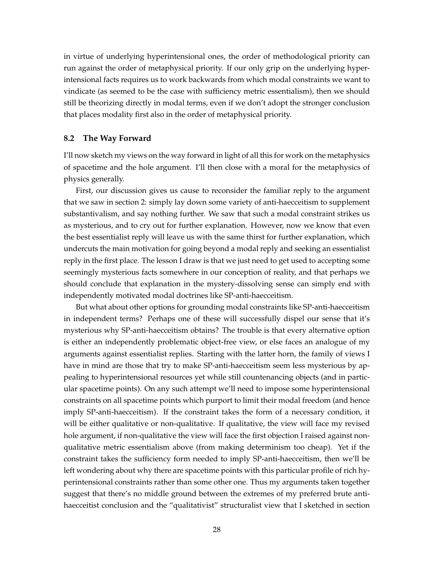in virtue of underlying hyperintensional ones, the order of methodological priority can run against the order of metaphysical priority. If our only grip on the underlying hyperintensional facts requires us to work backwards from which modal constraints we want to vindicate (as seemed to be the case with sufficiency metric essentialism), then we should still be theorizing directly in modal terms, even if we don't adopt the stronger conclusion that places modality first also in the order of metaphysical priority.

#### **8.2 The Way Forward**

I'll now sketch my views on the way forward in light of all this for work on the metaphysics of spacetime and the hole argument. I'll then close with a moral for the metaphysics of physics generally.

First, our discussion gives us cause to reconsider the familiar reply to the argument that we saw in section [2:](#page-4-0) simply lay down some variety of anti-haecceitism to supplement substantivalism, and say nothing further. We saw that such a modal constraint strikes us as mysterious, and to cry out for further explanation. However, now we know that even the best essentialist reply will leave us with the same thirst for further explanation, which undercuts the main motivation for going beyond a modal reply and seeking an essentialist reply in the first place. The lesson I draw is that we just need to get used to accepting some seemingly mysterious facts somewhere in our conception of reality, and that perhaps we should conclude that explanation in the mystery-dissolving sense can simply end with independently motivated modal doctrines like SP-anti-haecceitism.

But what about other options for grounding modal constraints like SP-anti-haecceitism in independent terms? Perhaps one of these will successfully dispel our sense that it's mysterious why SP-anti-haecceitism obtains? The trouble is that every alternative option is either an independently problematic object-free view, or else faces an analogue of my arguments against essentialist replies. Starting with the latter horn, the family of views I have in mind are those that try to make SP-anti-haecceitism seem less mysterious by appealing to hyperintensional resources yet while still countenancing objects (and in particular spacetime points). On any such attempt we'll need to impose some hyperintensional constraints on all spacetime points which purport to limit their modal freedom (and hence imply SP-anti-haecceitism). If the constraint takes the form of a necessary condition, it will be either qualitative or non-qualitative. If qualitative, the view will face my revised hole argument, if non-qualitative the view will face the first objection I raised against nonqualitative metric essentialism above (from making determinism too cheap). Yet if the constraint takes the sufficiency form needed to imply SP-anti-haecceitism, then we'll be left wondering about why there are spacetime points with this particular profile of rich hyperintensional constraints rather than some other one. Thus my arguments taken together suggest that there's no middle ground between the extremes of my preferred brute antihaecceitist conclusion and the "qualitativist" structuralist view that I sketched in section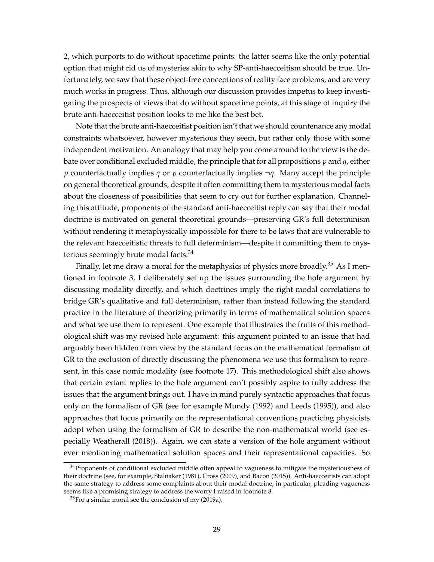[2,](#page-4-0) which purports to do without spacetime points: the latter seems like the only potential option that might rid us of mysteries akin to why SP-anti-haecceitism should be true. Unfortunately, we saw that these object-free conceptions of reality face problems, and are very much works in progress. Thus, although our discussion provides impetus to keep investigating the prospects of views that do without spacetime points, at this stage of inquiry the brute anti-haecceitist position looks to me like the best bet.

Note that the brute anti-haecceitist position isn't that we should countenance any modal constraints whatsoever, however mysterious they seem, but rather only those with some independent motivation. An analogy that may help you come around to the view is the debate over conditional excluded middle, the principle that for all propositions *p* and *q*, either *p* counterfactually implies *q* or *p* counterfactually implies ¬*q*. Many accept the principle on general theoretical grounds, despite it often committing them to mysterious modal facts about the closeness of possibilities that seem to cry out for further explanation. Channeling this attitude, proponents of the standard anti-haecceitist reply can say that their modal doctrine is motivated on general theoretical grounds—preserving GR's full determinism without rendering it metaphysically impossible for there to be laws that are vulnerable to the relevant haecceitistic threats to full determinism—despite it committing them to mys-terious seemingly brute modal facts.<sup>[34](#page-28-0)</sup>

Finally, let me draw a moral for the metaphysics of physics more broadly.<sup>[35](#page-28-1)</sup> As I mentioned in footnote [3,](#page-2-0) I deliberately set up the issues surrounding the hole argument by discussing modality directly, and which doctrines imply the right modal correlations to bridge GR's qualitative and full determinism, rather than instead following the standard practice in the literature of theorizing primarily in terms of mathematical solution spaces and what we use them to represent. One example that illustrates the fruits of this methodological shift was my revised hole argument: this argument pointed to an issue that had arguably been hidden from view by the standard focus on the mathematical formalism of GR to the exclusion of directly discussing the phenomena we use this formalism to represent, in this case nomic modality (see footnote [17\)](#page-13-0). This methodological shift also shows that certain extant replies to the hole argument can't possibly aspire to fully address the issues that the argument brings out. I have in mind purely syntactic approaches that focus only on the formalism of GR (see for example [Mundy](#page-31-20) [\(1992\)](#page-31-20) and [Leeds](#page-31-21) [\(1995\)](#page-31-21)), and also approaches that focus primarily on the representational conventions practicing physicists adopt when using the formalism of GR to describe the non-mathematical world (see especially [Weatherall](#page-32-9) [\(2018\)](#page-32-9)). Again, we can state a version of the hole argument without ever mentioning mathematical solution spaces and their representational capacities. So

<span id="page-28-0"></span><sup>&</sup>lt;sup>34</sup>Proponents of conditional excluded middle often appeal to vagueness to mitigate the mysteriousness of their doctrine (see, for example, [Stalnaker](#page-31-22) [\(1981\)](#page-31-22), [Cross](#page-30-24) [\(2009\)](#page-30-24), and [Bacon](#page-30-25) [\(2015\)](#page-30-25)). Anti-haecceitists can adopt the same strategy to address some complaints about their modal doctrine; in particular, pleading vagueness seems like a promising strategy to address the worry I raised in footnote [8.](#page-5-2)

<span id="page-28-1"></span> $35$ For a similar moral see the conclusion of my [\(2019a\)](#page-32-0).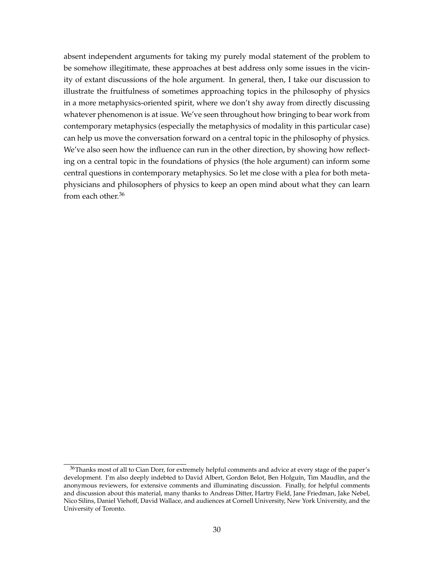absent independent arguments for taking my purely modal statement of the problem to be somehow illegitimate, these approaches at best address only some issues in the vicinity of extant discussions of the hole argument. In general, then, I take our discussion to illustrate the fruitfulness of sometimes approaching topics in the philosophy of physics in a more metaphysics-oriented spirit, where we don't shy away from directly discussing whatever phenomenon is at issue. We've seen throughout how bringing to bear work from contemporary metaphysics (especially the metaphysics of modality in this particular case) can help us move the conversation forward on a central topic in the philosophy of physics. We've also seen how the influence can run in the other direction, by showing how reflecting on a central topic in the foundations of physics (the hole argument) can inform some central questions in contemporary metaphysics. So let me close with a plea for both metaphysicians and philosophers of physics to keep an open mind about what they can learn from each other.<sup>[36](#page-29-0)</sup>

<span id="page-29-0"></span><sup>&</sup>lt;sup>36</sup>Thanks most of all to Cian Dorr, for extremely helpful comments and advice at every stage of the paper's development. I'm also deeply indebted to David Albert, Gordon Belot, Ben Holguín, Tim Maudlin, and the anonymous reviewers, for extensive comments and illuminating discussion. Finally, for helpful comments and discussion about this material, many thanks to Andreas Ditter, Hartry Field, Jane Friedman, Jake Nebel, Nico Silins, Daniel Viehoff, David Wallace, and audiences at Cornell University, New York University, and the University of Toronto.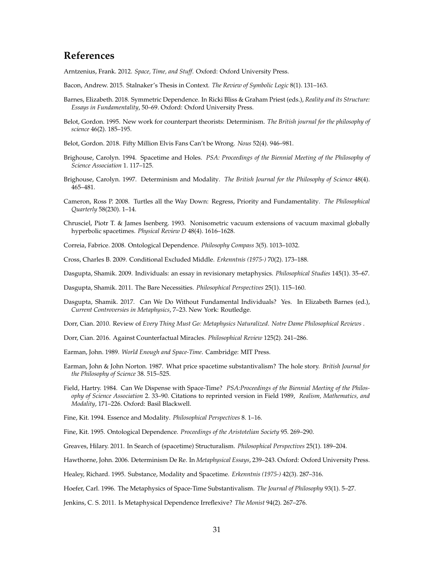## **References**

<span id="page-30-12"></span>Arntzenius, Frank. 2012. *Space, Time, and Stuff*. Oxford: Oxford University Press.

- <span id="page-30-25"></span>Bacon, Andrew. 2015. Stalnaker's Thesis in Context. *The Review of Symbolic Logic* 8(1). 131–163.
- <span id="page-30-22"></span>Barnes, Elizabeth. 2018. Symmetric Dependence. In Ricki Bliss & Graham Priest (eds.), *Reality and its Structure: Essays in Fundamentality*, 50–69. Oxford: Oxford University Press.
- <span id="page-30-1"></span>Belot, Gordon. 1995. New work for counterpart theorists: Determinism. *The British journal for the philosophy of science* 46(2). 185–195.
- <span id="page-30-16"></span>Belot, Gordon. 2018. Fifty Million Elvis Fans Can't be Wrong. *Nous* 52(4). 946–981.
- <span id="page-30-5"></span>Brighouse, Carolyn. 1994. Spacetime and Holes. *PSA: Proceedings of the Biennial Meeting of the Philosophy of Science Association* 1. 117–125.
- <span id="page-30-2"></span>Brighouse, Carolyn. 1997. Determinism and Modality. *The British Journal for the Philosophy of Science* 48(4). 465–481.
- <span id="page-30-20"></span>Cameron, Ross P. 2008. Turtles all the Way Down: Regress, Priority and Fundamentality. *The Philosophical Quarterly* 58(230). 1–14.
- <span id="page-30-17"></span>Chrusciel, Piotr T. & James Isenberg. 1993. Nonisometric vacuum extensions of vacuum maximal globally hyperbolic spacetimes. *Physical Review D* 48(4). 1616–1628.
- <span id="page-30-21"></span>Correia, Fabrice. 2008. Ontological Dependence. *Philosophy Compass* 3(5). 1013–1032.
- <span id="page-30-24"></span>Cross, Charles B. 2009. Conditional Excluded Middle. *Erkenntnis (1975-)* 70(2). 173–188.
- <span id="page-30-9"></span>Dasgupta, Shamik. 2009. Individuals: an essay in revisionary metaphysics. *Philosophical Studies* 145(1). 35–67.
- <span id="page-30-10"></span>Dasgupta, Shamik. 2011. The Bare Necessities. *Philosophical Perspectives* 25(1). 115–160.
- <span id="page-30-11"></span>Dasgupta, Shamik. 2017. Can We Do Without Fundamental Individuals? Yes. In Elizabeth Barnes (ed.), *Current Controversies in Metaphysics*, 7–23. New York: Routledge.
- <span id="page-30-13"></span>Dorr, Cian. 2010. Review of *Every Thing Must Go: Metaphysics Naturalized*. *Notre Dame Philosophical Reviews* .
- <span id="page-30-18"></span>Dorr, Cian. 2016. Against Counterfactual Miracles. *Philosophical Review* 125(2). 241–286.
- <span id="page-30-4"></span>Earman, John. 1989. *World Enough and Space-Time*. Cambridge: MIT Press.
- <span id="page-30-0"></span>Earman, John & John Norton. 1987. What price spacetime substantivalism? The hole story. *British Journal for the Philosophy of Science* 38. 515–525.
- <span id="page-30-7"></span>Field, Hartry. 1984. Can We Dispense with Space-Time? *PSA:Proceedings of the Biennial Meeting of the Philosophy of Science Association* 2. 33–90. Citations to reprinted version in Field 1989, *Realism, Mathematics, and Modality*, 171–226. Oxford: Basil Blackwell.
- <span id="page-30-8"></span>Fine, Kit. 1994. Essence and Modality. *Philosophical Perspectives* 8. 1–16.

<span id="page-30-19"></span>Fine, Kit. 1995. Ontological Dependence. *Proceedings of the Aristotelian Society* 95. 269–290.

<span id="page-30-14"></span>Greaves, Hilary. 2011. In Search of (spacetime) Structuralism. *Philosophical Perspectives* 25(1). 189–204.

<span id="page-30-3"></span>Hawthorne, John. 2006. Determinism De Re. In *Metaphysical Essays*, 239–243. Oxford: Oxford University Press.

<span id="page-30-15"></span>Healey, Richard. 1995. Substance, Modality and Spacetime. *Erkenntnis (1975-)* 42(3). 287–316.

<span id="page-30-6"></span>Hoefer, Carl. 1996. The Metaphysics of Space-Time Substantivalism. *The Journal of Philosophy* 93(1). 5–27.

<span id="page-30-23"></span>Jenkins, C. S. 2011. Is Metaphysical Dependence Irreflexive? *The Monist* 94(2). 267–276.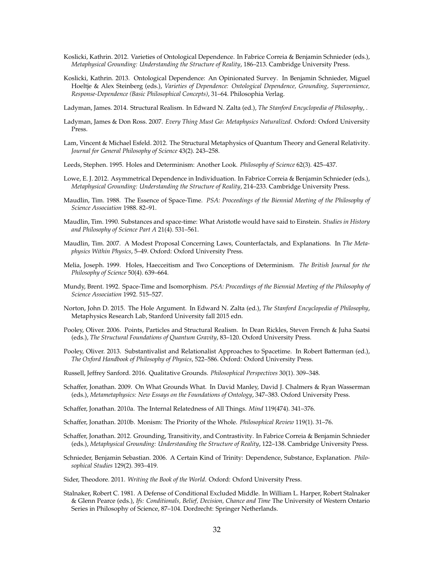- <span id="page-31-15"></span>Koslicki, Kathrin. 2012. Varieties of Ontological Dependence. In Fabrice Correia & Benjamin Schnieder (eds.), *Metaphysical Grounding: Understanding the Structure of Reality*, 186–213. Cambridge University Press.
- <span id="page-31-16"></span>Koslicki, Kathrin. 2013. Ontological Dependence: An Opinionated Survey. In Benjamin Schnieder, Miguel Hoeltje & Alex Steinberg (eds.), *Varieties of Dependence: Ontological Dependence, Grounding, Supervenience, Response-Dependence (Basic Philosophical Concepts)*, 31–64. Philosophia Verlag.

<span id="page-31-10"></span>Ladyman, James. 2014. Structural Realism. In Edward N. Zalta (ed.), *The Stanford Encyclopedia of Philosophy*, .

- <span id="page-31-11"></span>Ladyman, James & Don Ross. 2007. *Every Thing Must Go: Metaphysics Naturalized*. Oxford: Oxford University Press.
- <span id="page-31-14"></span>Lam, Vincent & Michael Esfeld. 2012. The Structural Metaphysics of Quantum Theory and General Relativity. *Journal for General Philosophy of Science* 43(2). 243–258.
- <span id="page-31-21"></span>Leeds, Stephen. 1995. Holes and Determinism: Another Look. *Philosophy of Science* 62(3). 425–437.
- <span id="page-31-13"></span>Lowe, E. J. 2012. Asymmetrical Dependence in Individuation. In Fabrice Correia & Benjamin Schnieder (eds.), *Metaphysical Grounding: Understanding the Structure of Reality*, 214–233. Cambridge University Press.
- <span id="page-31-4"></span>Maudlin, Tim. 1988. The Essence of Space-Time. *PSA: Proceedings of the Biennial Meeting of the Philosophy of Science Association* 1988. 82–91.
- <span id="page-31-5"></span>Maudlin, Tim. 1990. Substances and space-time: What Aristotle would have said to Einstein. *Studies in History and Philosophy of Science Part A* 21(4). 531–561.
- <span id="page-31-3"></span>Maudlin, Tim. 2007. A Modest Proposal Concerning Laws, Counterfactals, and Explanations. In *The Metaphysics Within Physics*, 5–49. Oxford: Oxford University Press.
- <span id="page-31-0"></span>Melia, Joseph. 1999. Holes, Haecceitism and Two Conceptions of Determinism. *The British Journal for the Philosophy of Science* 50(4). 639–664.
- <span id="page-31-20"></span>Mundy, Brent. 1992. Space-Time and Isomorphism. *PSA: Proceedings of the Biennial Meeting of the Philosophy of Science Association* 1992. 515–527.
- <span id="page-31-2"></span>Norton, John D. 2015. The Hole Argument. In Edward N. Zalta (ed.), *The Stanford Encyclopedia of Philosophy*, Metaphysics Research Lab, Stanford University fall 2015 edn.
- <span id="page-31-6"></span>Pooley, Oliver. 2006. Points, Particles and Structural Realism. In Dean Rickles, Steven French & Juha Saatsi (eds.), *The Structural Foundations of Quantum Gravity*, 83–120. Oxford University Press.
- <span id="page-31-1"></span>Pooley, Oliver. 2013. Substantivalist and Relationalist Approaches to Spacetime. In Robert Batterman (ed.), *The Oxford Handbook of Philosophy of Physics*, 522–586. Oxford: Oxford University Press.
- <span id="page-31-8"></span>Russell, Jeffrey Sanford. 2016. Qualitative Grounds. *Philosophical Perspectives* 30(1). 309–348.
- <span id="page-31-7"></span>Schaffer, Jonathan. 2009. On What Grounds What. In David Manley, David J. Chalmers & Ryan Wasserman (eds.), *Metametaphysics: New Essays on the Foundations of Ontology*, 347–383. Oxford University Press.

<span id="page-31-12"></span>Schaffer, Jonathan. 2010a. The Internal Relatedness of All Things. *Mind* 119(474). 341–376.

- <span id="page-31-18"></span>Schaffer, Jonathan. 2010b. Monism: The Priority of the Whole. *Philosophical Review* 119(1). 31–76.
- <span id="page-31-19"></span>Schaffer, Jonathan. 2012. Grounding, Transitivity, and Contrastivity. In Fabrice Correia & Benjamin Schnieder (eds.), *Metaphysical Grounding: Understanding the Structure of Reality*, 122–138. Cambridge University Press.
- <span id="page-31-17"></span>Schnieder, Benjamin Sebastian. 2006. A Certain Kind of Trinity: Dependence, Substance, Explanation. *Philosophical Studies* 129(2). 393–419.
- <span id="page-31-9"></span>Sider, Theodore. 2011. *Writing the Book of the World*. Oxford: Oxford University Press.
- <span id="page-31-22"></span>Stalnaker, Robert C. 1981. A Defense of Conditional Excluded Middle. In William L. Harper, Robert Stalnaker & Glenn Pearce (eds.), *Ifs: Conditionals, Belief, Decision, Chance and Time* The University of Western Ontario Series in Philosophy of Science, 87–104. Dordrecht: Springer Netherlands.